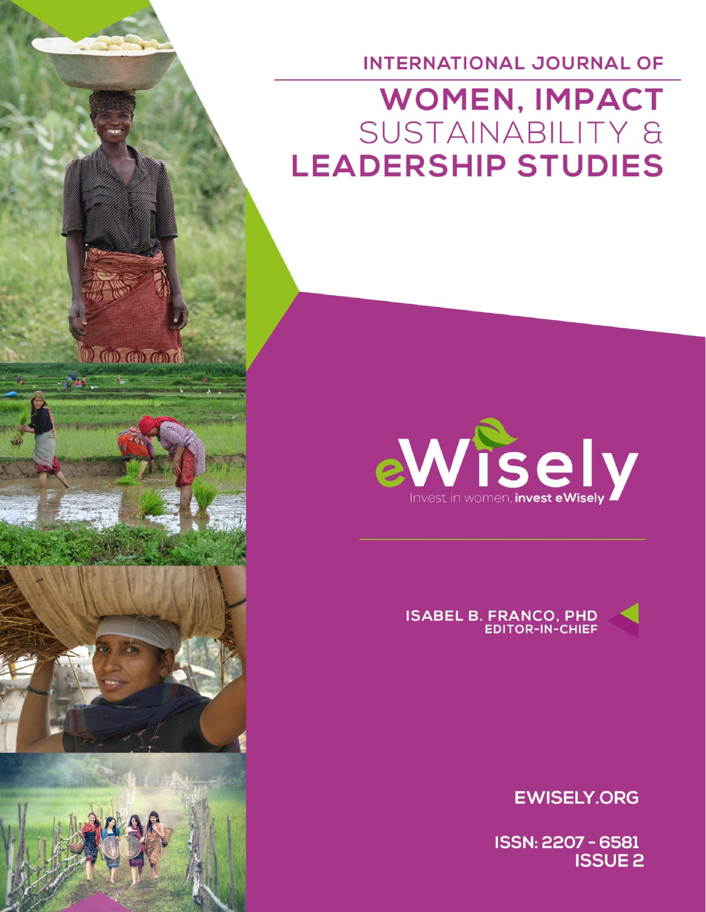# **WOMEN, IMPACT SUSTAINABILITY & LEADERSHIP STUDIES**

INTERNATIONAL JOURNAL OF WOMEN, IMPACT SUSTAINABILITY AND LEADERSHIP STUDIES VOL. 1. NO. 2, 2018

**DEGET CONTRACT** 



**ISABEL B. FRANCO, PHD**<br>EDITOR-IN-CHIEF

**EWISELY.ORG** 

**ISSN: 2207 - 6581<br>ISSUE 2**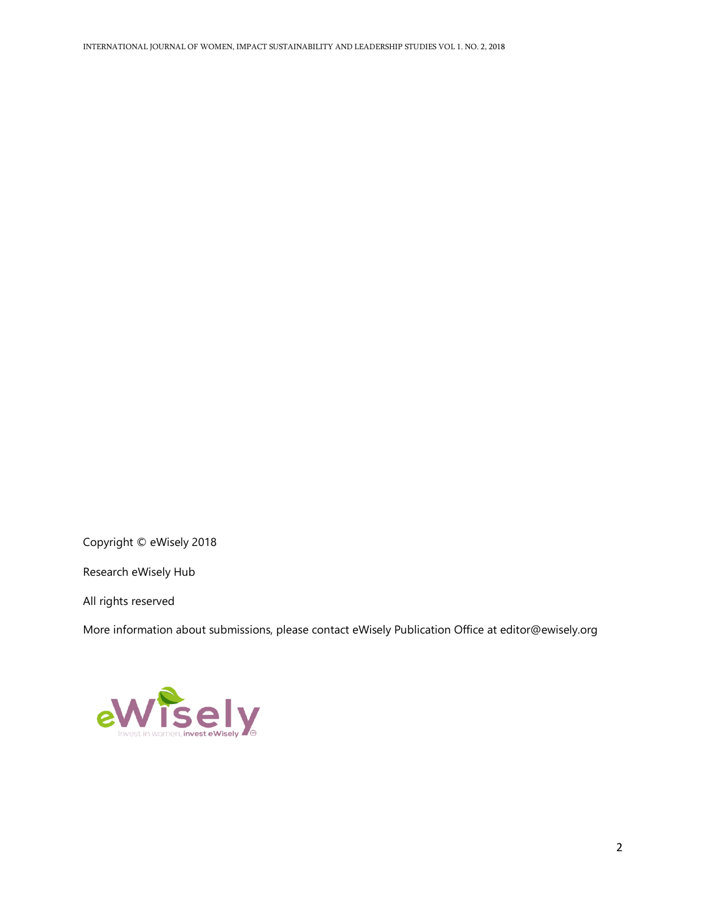Copyright © eWisely 2018

Research eWisely Hub

All rights reserved

More information about submissions, please contact eWisely Publication Office at editor@ewisely.org

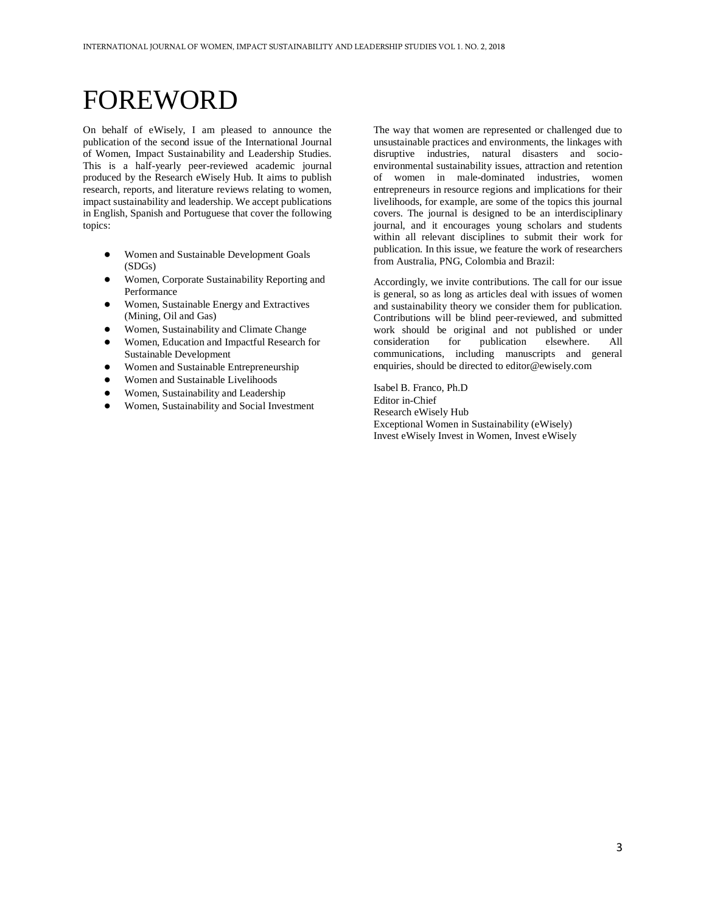# FOREWORD

On behalf of eWisely, I am pleased to announce the publication of the second issue of the International Journal of Women, Impact Sustainability and Leadership Studies. This is a half-yearly peer-reviewed academic journal produced by the Research eWisely Hub. It aims to publish research, reports, and literature reviews relating to women, impact sustainability and leadership. We accept publications in English, Spanish and Portuguese that cover the following topics:

- Women and Sustainable Development Goals (SDGs)
- Women, Corporate Sustainability Reporting and Performance
- Women, Sustainable Energy and Extractives (Mining, Oil and Gas)
- Women, Sustainability and Climate Change
- Women, Education and Impactful Research for Sustainable Development
- Women and Sustainable Entrepreneurship
- Women and Sustainable Livelihoods
- Women, Sustainability and Leadership
- Women, Sustainability and Social Investment

The way that women are represented or challenged due to unsustainable practices and environments, the linkages with disruptive industries, natural disasters and socioenvironmental sustainability issues, attraction and retention of women in male-dominated industries, women entrepreneurs in resource regions and implications for their livelihoods, for example, are some of the topics this journal covers. The journal is designed to be an interdisciplinary journal, and it encourages young scholars and students within all relevant disciplines to submit their work for publication. In this issue, we feature the work of researchers from Australia, PNG, Colombia and Brazil:

Accordingly, we invite contributions. The call for our issue is general, so as long as articles deal with issues of women and sustainability theory we consider them for publication. Contributions will be blind peer-reviewed, and submitted work should be original and not published or under consideration for publication elsewhere. All communications, including manuscripts and general enquiries, should be directed to editor@ewisely.com

Isabel B. Franco, Ph.D Editor in-Chief Research eWisely Hub Exceptional Women in Sustainability (eWisely) Invest eWisely Invest in Women, Invest eWisely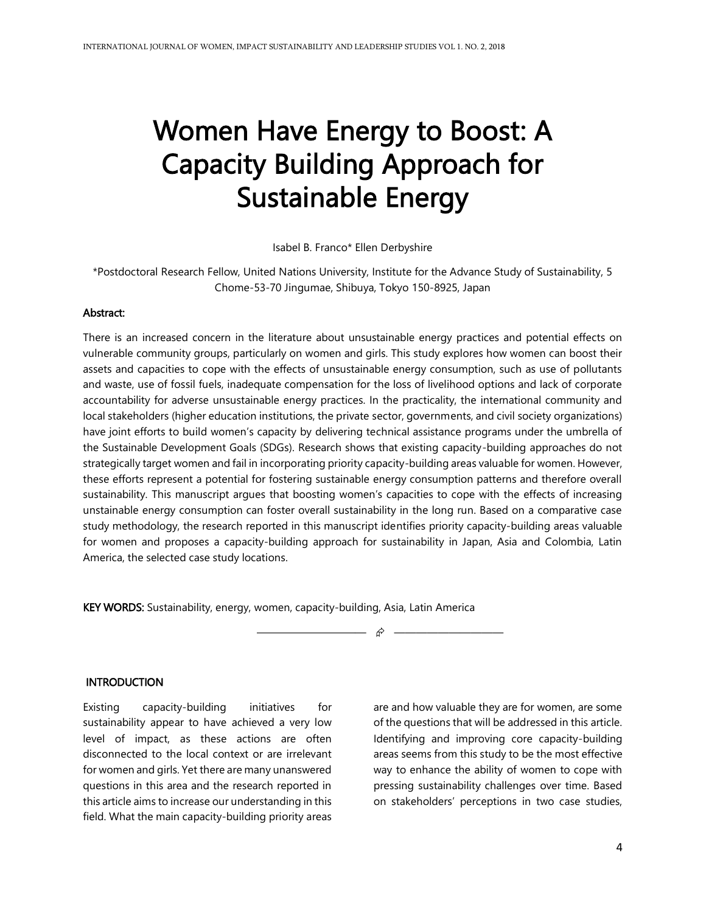# Women Have Energy to Boost: A Capacity Building Approach for Sustainable Energy

Isabel B. Franco\* Ellen Derbyshire

\*Postdoctoral Research Fellow, United Nations University, Institute for the Advance Study of Sustainability, 5 Chome-53-70 Jingumae, Shibuya, Tokyo 150-8925, Japan

#### Abstract:

There is an increased concern in the literature about unsustainable energy practices and potential effects on vulnerable community groups, particularly on women and girls. This study explores how women can boost their assets and capacities to cope with the effects of unsustainable energy consumption, such as use of pollutants and waste, use of fossil fuels, inadequate compensation for the loss of livelihood options and lack of corporate accountability for adverse unsustainable energy practices. In the practicality, the international community and local stakeholders (higher education institutions, the private sector, governments, and civil society organizations) have joint efforts to build women's capacity by delivering technical assistance programs under the umbrella of the Sustainable Development Goals (SDGs). Research shows that existing capacity-building approaches do not strategically target women and fail in incorporating priority capacity-building areas valuable for women. However, these efforts represent a potential for fostering sustainable energy consumption patterns and therefore overall sustainability. This manuscript argues that boosting women's capacities to cope with the effects of increasing unstainable energy consumption can foster overall sustainability in the long run. Based on a comparative case study methodology, the research reported in this manuscript identifies priority capacity-building areas valuable for women and proposes a capacity-building approach for sustainability in Japan, Asia and Colombia, Latin America, the selected case study locations.

KEY WORDS: Sustainability, energy, women, capacity-building, Asia, Latin America

—————————— ——————————

### INTRODUCTION

Existing capacity-building initiatives for sustainability appear to have achieved a very low level of impact, as these actions are often disconnected to the local context or are irrelevant for women and girls. Yet there are many unanswered questions in this area and the research reported in this article aims to increase our understanding in this field. What the main capacity-building priority areas are and how valuable they are for women, are some of the questions that will be addressed in this article. Identifying and improving core capacity-building areas seems from this study to be the most effective way to enhance the ability of women to cope with pressing sustainability challenges over time. Based on stakeholders' perceptions in two case studies,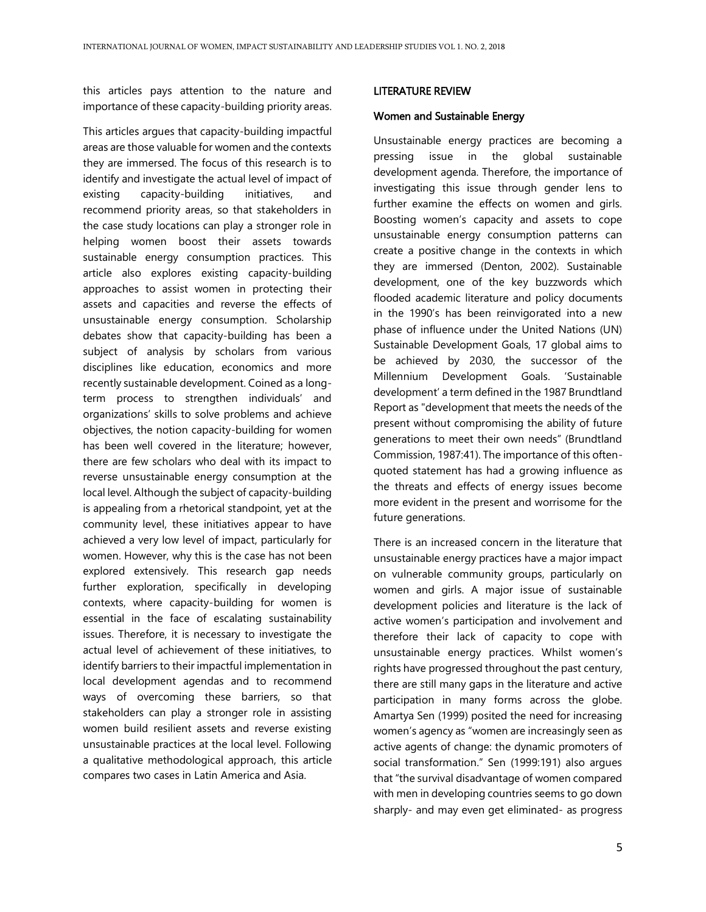this articles pays attention to the nature and importance of these capacity-building priority areas.

This articles argues that capacity-building impactful areas are those valuable for women and the contexts they are immersed. The focus of this research is to identify and investigate the actual level of impact of existing capacity-building initiatives, and recommend priority areas, so that stakeholders in the case study locations can play a stronger role in helping women boost their assets towards sustainable energy consumption practices. This article also explores existing capacity-building approaches to assist women in protecting their assets and capacities and reverse the effects of unsustainable energy consumption. Scholarship debates show that capacity-building has been a subject of analysis by scholars from various disciplines like education, economics and more recently sustainable development. Coined as a longterm process to strengthen individuals' and organizations' skills to solve problems and achieve objectives, the notion capacity-building for women has been well covered in the literature; however, there are few scholars who deal with its impact to reverse unsustainable energy consumption at the local level. Although the subject of capacity-building is appealing from a rhetorical standpoint, yet at the community level, these initiatives appear to have achieved a very low level of impact, particularly for women. However, why this is the case has not been explored extensively. This research gap needs further exploration, specifically in developing contexts, where capacity-building for women is essential in the face of escalating sustainability issues. Therefore, it is necessary to investigate the actual level of achievement of these initiatives, to identify barriers to their impactful implementation in local development agendas and to recommend ways of overcoming these barriers, so that stakeholders can play a stronger role in assisting women build resilient assets and reverse existing unsustainable practices at the local level. Following a qualitative methodological approach, this article compares two cases in Latin America and Asia.

### LITERATURE REVIEW

#### Women and Sustainable Energy

Unsustainable energy practices are becoming a pressing issue in the global sustainable development agenda. Therefore, the importance of investigating this issue through gender lens to further examine the effects on women and girls. Boosting women's capacity and assets to cope unsustainable energy consumption patterns can create a positive change in the contexts in which they are immersed (Denton, 2002). Sustainable development, one of the key buzzwords which flooded academic literature and policy documents in the 1990's has been reinvigorated into a new phase of influence under the United Nations (UN) Sustainable Development Goals, 17 global aims to be achieved by 2030, the successor of the Millennium Development Goals. 'Sustainable development' a term defined in the 1987 Brundtland Report as "development that meets the needs of the present without compromising the ability of future generations to meet their own needs" (Brundtland Commission, 1987:41). The importance of this oftenquoted statement has had a growing influence as the threats and effects of energy issues become more evident in the present and worrisome for the future generations.

There is an increased concern in the literature that unsustainable energy practices have a major impact on vulnerable community groups, particularly on women and girls. A major issue of sustainable development policies and literature is the lack of active women's participation and involvement and therefore their lack of capacity to cope with unsustainable energy practices. Whilst women's rights have progressed throughout the past century, there are still many gaps in the literature and active participation in many forms across the globe. Amartya Sen (1999) posited the need for increasing women's agency as "women are increasingly seen as active agents of change: the dynamic promoters of social transformation." Sen (1999:191) also argues that "the survival disadvantage of women compared with men in developing countries seems to go down sharply- and may even get eliminated- as progress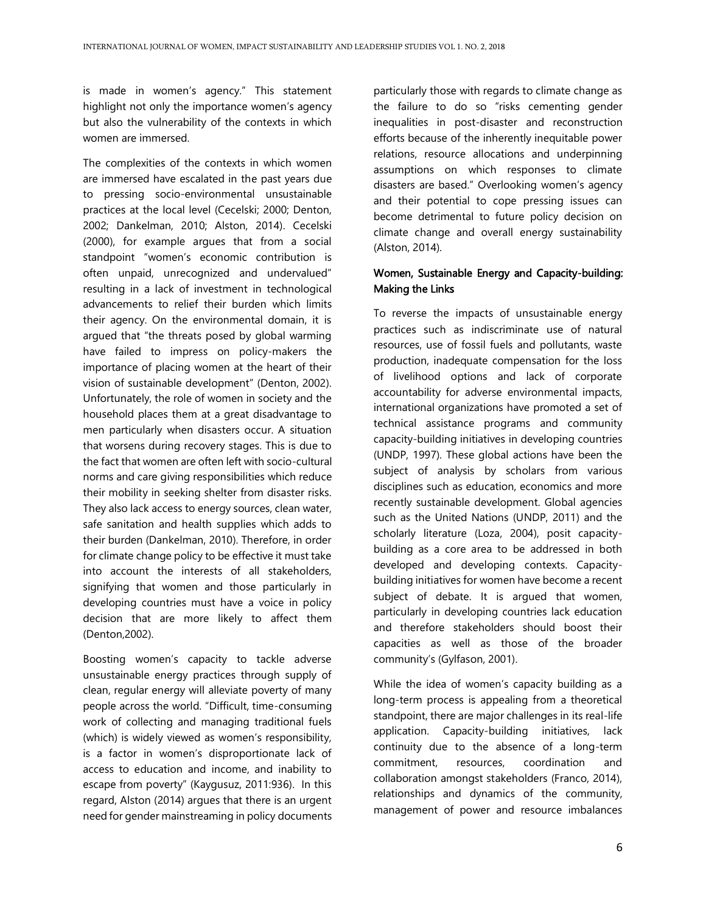is made in women's agency." This statement highlight not only the importance women's agency but also the vulnerability of the contexts in which women are immersed.

The complexities of the contexts in which women are immersed have escalated in the past years due to pressing socio-environmental unsustainable practices at the local level (Cecelski; 2000; Denton, 2002; Dankelman, 2010; Alston, 2014). Cecelski (2000), for example argues that from a social standpoint "women's economic contribution is often unpaid, unrecognized and undervalued" resulting in a lack of investment in technological advancements to relief their burden which limits their agency. On the environmental domain, it is argued that "the threats posed by global warming have failed to impress on policy-makers the importance of placing women at the heart of their vision of sustainable development" (Denton, 2002). Unfortunately, the role of women in society and the household places them at a great disadvantage to men particularly when disasters occur. A situation that worsens during recovery stages. This is due to the fact that women are often left with socio-cultural norms and care giving responsibilities which reduce their mobility in seeking shelter from disaster risks. They also lack access to energy sources, clean water, safe sanitation and health supplies which adds to their burden (Dankelman, 2010). Therefore, in order for climate change policy to be effective it must take into account the interests of all stakeholders, signifying that women and those particularly in developing countries must have a voice in policy decision that are more likely to affect them (Denton,2002).

Boosting women's capacity to tackle adverse unsustainable energy practices through supply of clean, regular energy will alleviate poverty of many people across the world. "Difficult, time-consuming work of collecting and managing traditional fuels (which) is widely viewed as women's responsibility, is a factor in women's disproportionate lack of access to education and income, and inability to escape from poverty" (Kaygusuz, 2011:936). In this regard, Alston (2014) argues that there is an urgent need for gender mainstreaming in policy documents

particularly those with regards to climate change as the failure to do so "risks cementing gender inequalities in post-disaster and reconstruction efforts because of the inherently inequitable power relations, resource allocations and underpinning assumptions on which responses to climate disasters are based." Overlooking women's agency and their potential to cope pressing issues can become detrimental to future policy decision on climate change and overall energy sustainability (Alston, 2014).

# Women, Sustainable Energy and Capacity-building: Making the Links

To reverse the impacts of unsustainable energy practices such as indiscriminate use of natural resources, use of fossil fuels and pollutants, waste production, inadequate compensation for the loss of livelihood options and lack of corporate accountability for adverse environmental impacts, international organizations have promoted a set of technical assistance programs and community capacity-building initiatives in developing countries (UNDP, 1997). These global actions have been the subject of analysis by scholars from various disciplines such as education, economics and more recently sustainable development. Global agencies such as the United Nations (UNDP, 2011) and the scholarly literature (Loza, 2004), posit capacitybuilding as a core area to be addressed in both developed and developing contexts. Capacitybuilding initiatives for women have become a recent subject of debate. It is argued that women, particularly in developing countries lack education and therefore stakeholders should boost their capacities as well as those of the broader community's (Gylfason, 2001).

While the idea of women's capacity building as a long-term process is appealing from a theoretical standpoint, there are major challenges in its real-life application. Capacity-building initiatives, lack continuity due to the absence of a long-term commitment, resources, coordination and collaboration amongst stakeholders (Franco, 2014), relationships and dynamics of the community, management of power and resource imbalances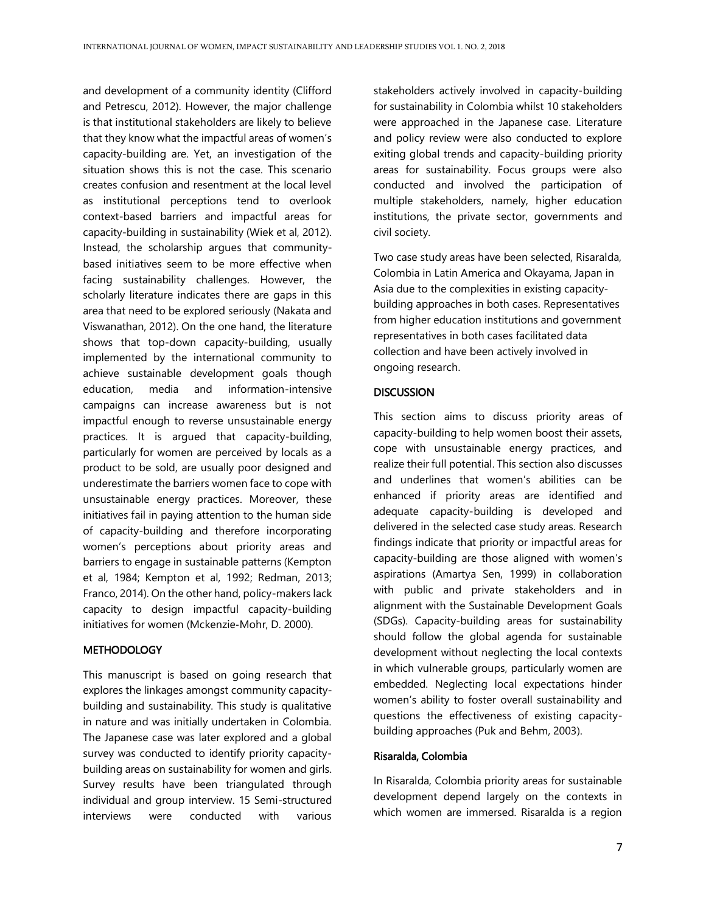and development of a community identity (Clifford and Petrescu, 2012). However, the major challenge is that institutional stakeholders are likely to believe that they know what the impactful areas of women's capacity-building are. Yet, an investigation of the situation shows this is not the case. This scenario creates confusion and resentment at the local level as institutional perceptions tend to overlook context-based barriers and impactful areas for capacity-building in sustainability (Wiek et al, 2012). Instead, the scholarship argues that communitybased initiatives seem to be more effective when facing sustainability challenges. However, the scholarly literature indicates there are gaps in this area that need to be explored seriously (Nakata and Viswanathan, 2012). On the one hand, the literature shows that top-down capacity-building, usually implemented by the international community to achieve sustainable development goals though education, media and information-intensive campaigns can increase awareness but is not impactful enough to reverse unsustainable energy practices. It is argued that capacity-building, particularly for women are perceived by locals as a product to be sold, are usually poor designed and underestimate the barriers women face to cope with unsustainable energy practices. Moreover, these initiatives fail in paying attention to the human side of capacity-building and therefore incorporating women's perceptions about priority areas and barriers to engage in sustainable patterns (Kempton et al, 1984; Kempton et al, 1992; Redman, 2013; Franco, 2014). On the other hand, policy-makers lack capacity to design impactful capacity-building initiatives for women (Mckenzie‐Mohr, D. 2000).

# **METHODOLOGY**

This manuscript is based on going research that explores the linkages amongst community capacitybuilding and sustainability. This study is qualitative in nature and was initially undertaken in Colombia. The Japanese case was later explored and a global survey was conducted to identify priority capacitybuilding areas on sustainability for women and girls. Survey results have been triangulated through individual and group interview. 15 Semi-structured interviews were conducted with various

stakeholders actively involved in capacity-building for sustainability in Colombia whilst 10 stakeholders were approached in the Japanese case. Literature and policy review were also conducted to explore exiting global trends and capacity-building priority areas for sustainability. Focus groups were also conducted and involved the participation of multiple stakeholders, namely, higher education institutions, the private sector, governments and civil society.

Two case study areas have been selected, Risaralda, Colombia in Latin America and Okayama, Japan in Asia due to the complexities in existing capacitybuilding approaches in both cases. Representatives from higher education institutions and government representatives in both cases facilitated data collection and have been actively involved in ongoing research.

# **DISCUSSION**

This section aims to discuss priority areas of capacity-building to help women boost their assets, cope with unsustainable energy practices, and realize their full potential. This section also discusses and underlines that women's abilities can be enhanced if priority areas are identified and adequate capacity-building is developed and delivered in the selected case study areas. Research findings indicate that priority or impactful areas for capacity-building are those aligned with women's aspirations (Amartya Sen, 1999) in collaboration with public and private stakeholders and in alignment with the Sustainable Development Goals (SDGs). Capacity-building areas for sustainability should follow the global agenda for sustainable development without neglecting the local contexts in which vulnerable groups, particularly women are embedded. Neglecting local expectations hinder women's ability to foster overall sustainability and questions the effectiveness of existing capacitybuilding approaches (Puk and Behm, 2003).

# Risaralda, Colombia

In Risaralda, Colombia priority areas for sustainable development depend largely on the contexts in which women are immersed. Risaralda is a region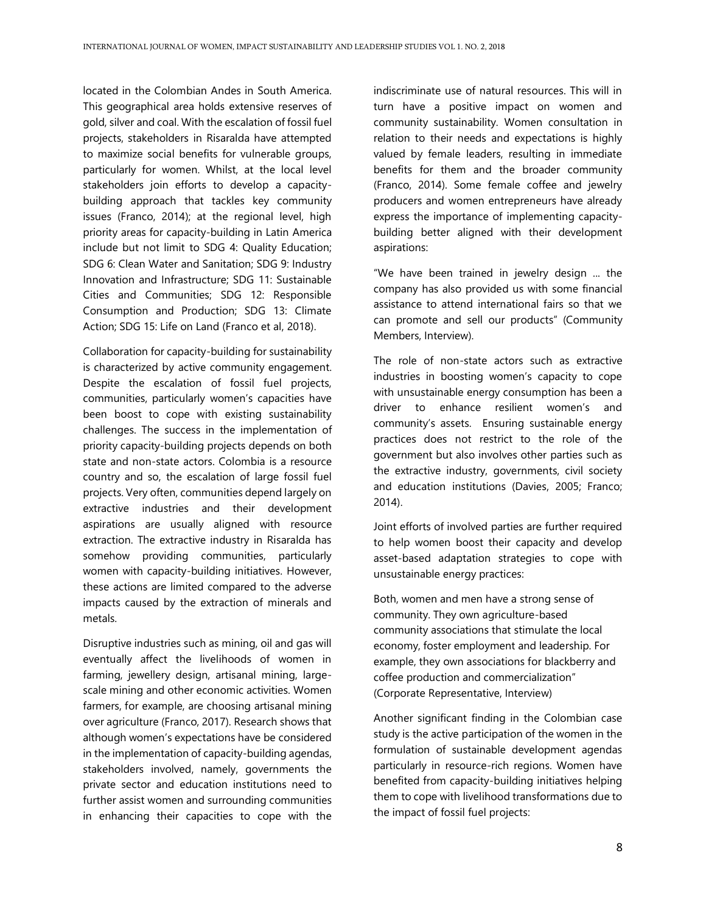located in the Colombian Andes in South America. This geographical area holds extensive reserves of gold, silver and coal. With the escalation of fossil fuel projects, stakeholders in Risaralda have attempted to maximize social benefits for vulnerable groups, particularly for women. Whilst, at the local level stakeholders join efforts to develop a capacitybuilding approach that tackles key community issues (Franco, 2014); at the regional level, high priority areas for capacity-building in Latin America include but not limit to SDG 4: Quality Education; SDG 6: Clean Water and Sanitation; SDG 9: Industry Innovation and Infrastructure; SDG 11: Sustainable Cities and Communities; SDG 12: Responsible Consumption and Production; SDG 13: Climate Action; SDG 15: Life on Land (Franco et al, 2018).

Collaboration for capacity-building for sustainability is characterized by active community engagement. Despite the escalation of fossil fuel projects, communities, particularly women's capacities have been boost to cope with existing sustainability challenges. The success in the implementation of priority capacity-building projects depends on both state and non-state actors. Colombia is a resource country and so, the escalation of large fossil fuel projects. Very often, communities depend largely on extractive industries and their development aspirations are usually aligned with resource extraction. The extractive industry in Risaralda has somehow providing communities, particularly women with capacity-building initiatives. However, these actions are limited compared to the adverse impacts caused by the extraction of minerals and metals.

Disruptive industries such as mining, oil and gas will eventually affect the livelihoods of women in farming, jewellery design, artisanal mining, largescale mining and other economic activities. Women farmers, for example, are choosing artisanal mining over agriculture (Franco, 2017). Research shows that although women's expectations have be considered in the implementation of capacity-building agendas, stakeholders involved, namely, governments the private sector and education institutions need to further assist women and surrounding communities in enhancing their capacities to cope with the

indiscriminate use of natural resources. This will in turn have a positive impact on women and community sustainability. Women consultation in relation to their needs and expectations is highly valued by female leaders, resulting in immediate benefits for them and the broader community (Franco, 2014). Some female coffee and jewelry producers and women entrepreneurs have already express the importance of implementing capacitybuilding better aligned with their development aspirations:

"We have been trained in jewelry design ... the company has also provided us with some financial assistance to attend international fairs so that we can promote and sell our products" (Community Members, Interview).

The role of non-state actors such as extractive industries in boosting women's capacity to cope with unsustainable energy consumption has been a driver to enhance resilient women's and community's assets. Ensuring sustainable energy practices does not restrict to the role of the government but also involves other parties such as the extractive industry, governments, civil society and education institutions (Davies, 2005; Franco; 2014).

Joint efforts of involved parties are further required to help women boost their capacity and develop asset-based adaptation strategies to cope with unsustainable energy practices:

Both, women and men have a strong sense of community. They own agriculture-based community associations that stimulate the local economy, foster employment and leadership. For example, they own associations for blackberry and coffee production and commercialization" (Corporate Representative, Interview)

Another significant finding in the Colombian case study is the active participation of the women in the formulation of sustainable development agendas particularly in resource-rich regions. Women have benefited from capacity-building initiatives helping them to cope with livelihood transformations due to the impact of fossil fuel projects: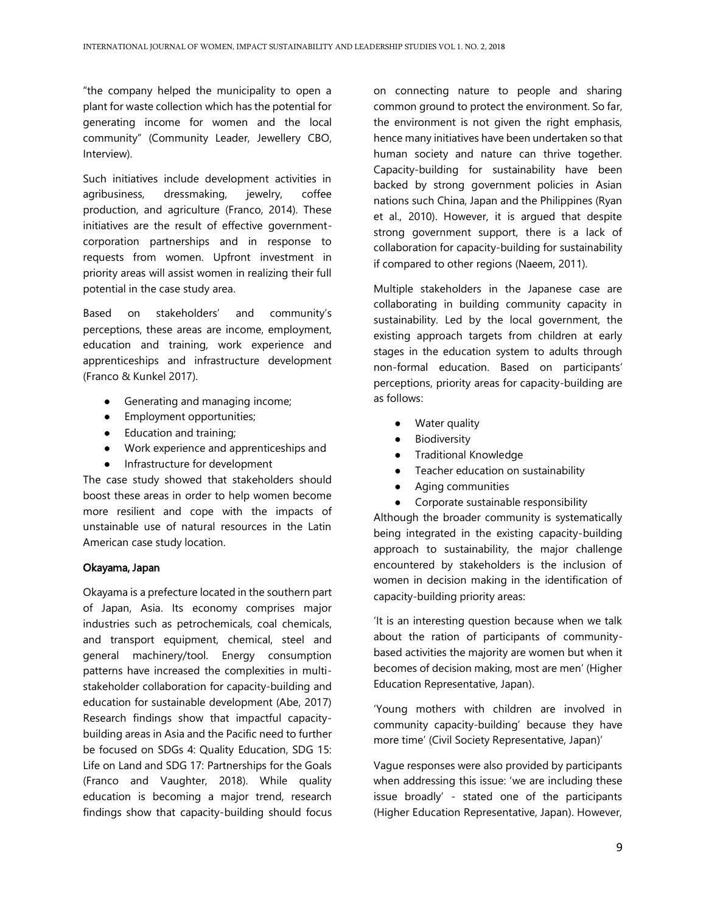"the company helped the municipality to open a plant for waste collection which has the potential for generating income for women and the local community" (Community Leader, Jewellery CBO, Interview).

Such initiatives include development activities in agribusiness, dressmaking, jewelry, coffee production, and agriculture (Franco, 2014). These initiatives are the result of effective governmentcorporation partnerships and in response to requests from women. Upfront investment in priority areas will assist women in realizing their full potential in the case study area.

Based on stakeholders' and community's perceptions, these areas are income, employment, education and training, work experience and apprenticeships and infrastructure development (Franco & Kunkel 2017).

- Generating and managing income;
- Employment opportunities;
- Education and training;
- Work experience and apprenticeships and
- Infrastructure for development

The case study showed that stakeholders should boost these areas in order to help women become more resilient and cope with the impacts of unstainable use of natural resources in the Latin American case study location.

# Okayama, Japan

Okayama is a prefecture located in the southern part of Japan, Asia. Its economy comprises major industries such as petrochemicals, coal chemicals, and transport equipment, chemical, steel and general machinery/tool. Energy consumption patterns have increased the complexities in multistakeholder collaboration for capacity-building and education for sustainable development (Abe, 2017) Research findings show that impactful capacitybuilding areas in Asia and the Pacific need to further be focused on SDGs 4: Quality Education, SDG 15: Life on Land and SDG 17: Partnerships for the Goals (Franco and Vaughter, 2018). While quality education is becoming a major trend, research findings show that capacity-building should focus

on connecting nature to people and sharing common ground to protect the environment. So far, the environment is not given the right emphasis, hence many initiatives have been undertaken so that human society and nature can thrive together. Capacity-building for sustainability have been backed by strong government policies in Asian nations such China, Japan and the Philippines (Ryan et al., 2010). However, it is argued that despite strong government support, there is a lack of collaboration for capacity-building for sustainability if compared to other regions (Naeem, 2011).

Multiple stakeholders in the Japanese case are collaborating in building community capacity in sustainability. Led by the local government, the existing approach targets from children at early stages in the education system to adults through non-formal education. Based on participants' perceptions, priority areas for capacity-building are as follows:

- Water quality
- **•** Biodiversity
- Traditional Knowledge
- Teacher education on sustainability
- Aging communities
- Corporate sustainable responsibility

Although the broader community is systematically being integrated in the existing capacity-building approach to sustainability, the major challenge encountered by stakeholders is the inclusion of women in decision making in the identification of capacity-building priority areas:

'It is an interesting question because when we talk about the ration of participants of communitybased activities the majority are women but when it becomes of decision making, most are men' (Higher Education Representative, Japan).

'Young mothers with children are involved in community capacity-building' because they have more time' (Civil Society Representative, Japan)'

Vague responses were also provided by participants when addressing this issue: 'we are including these issue broadly' - stated one of the participants (Higher Education Representative, Japan). However,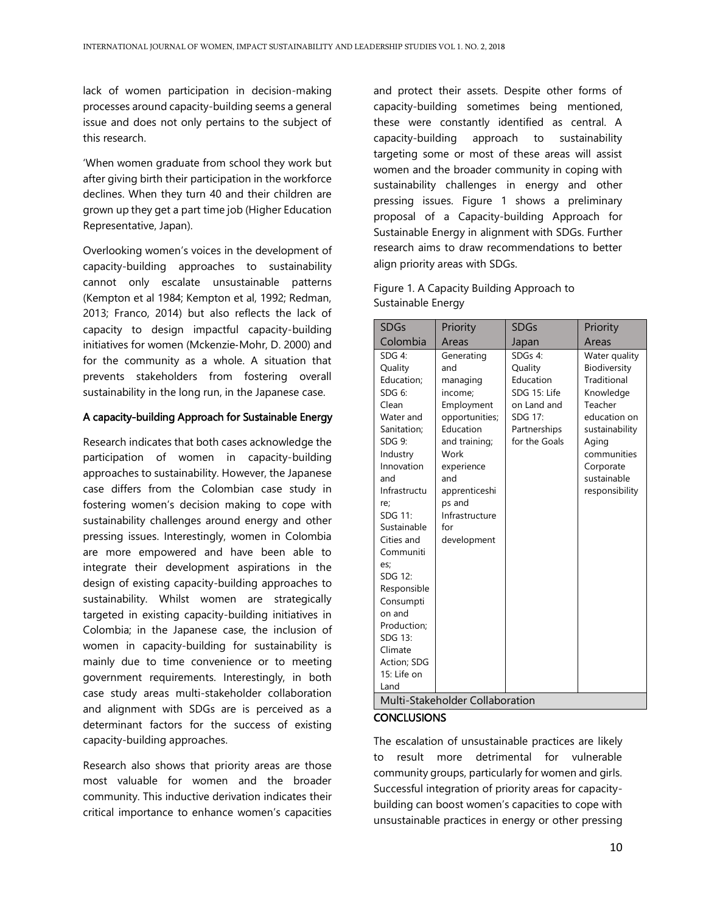lack of women participation in decision-making processes around capacity-building seems a general issue and does not only pertains to the subject of this research.

'When women graduate from school they work but after giving birth their participation in the workforce declines. When they turn 40 and their children are grown up they get a part time job (Higher Education Representative, Japan).

Overlooking women's voices in the development of capacity-building approaches to sustainability cannot only escalate unsustainable patterns (Kempton et al 1984; Kempton et al, 1992; Redman, 2013; Franco, 2014) but also reflects the lack of capacity to design impactful capacity-building initiatives for women (Mckenzie‐Mohr, D. 2000) and for the community as a whole. A situation that prevents stakeholders from fostering overall sustainability in the long run, in the Japanese case.

# A capacity-building Approach for Sustainable Energy

Research indicates that both cases acknowledge the participation of women in capacity-building approaches to sustainability. However, the Japanese case differs from the Colombian case study in fostering women's decision making to cope with sustainability challenges around energy and other pressing issues. Interestingly, women in Colombia are more empowered and have been able to integrate their development aspirations in the design of existing capacity-building approaches to sustainability. Whilst women are strategically targeted in existing capacity-building initiatives in Colombia; in the Japanese case, the inclusion of women in capacity-building for sustainability is mainly due to time convenience or to meeting government requirements. Interestingly, in both case study areas multi-stakeholder collaboration and alignment with SDGs are is perceived as a determinant factors for the success of existing capacity-building approaches.

Research also shows that priority areas are those most valuable for women and the broader community. This inductive derivation indicates their critical importance to enhance women's capacities and protect their assets. Despite other forms of capacity-building sometimes being mentioned, these were constantly identified as central. A capacity-building approach to sustainability targeting some or most of these areas will assist women and the broader community in coping with sustainability challenges in energy and other pressing issues. Figure 1 shows a preliminary proposal of a Capacity-building Approach for Sustainable Energy in alignment with SDGs. Further research aims to draw recommendations to better align priority areas with SDGs.

| Figure 1. A Capacity Building Approach to |  |  |  |  |  |
|-------------------------------------------|--|--|--|--|--|
| Sustainable Energy                        |  |  |  |  |  |

| <b>SDGs</b>                                                                                                                                                                                                                                                                                                                                  | Priority                                                                                                                                                                                               | <b>SDGs</b>                                                                                                | Priority                                                                                                                                                                     |  |  |  |  |
|----------------------------------------------------------------------------------------------------------------------------------------------------------------------------------------------------------------------------------------------------------------------------------------------------------------------------------------------|--------------------------------------------------------------------------------------------------------------------------------------------------------------------------------------------------------|------------------------------------------------------------------------------------------------------------|------------------------------------------------------------------------------------------------------------------------------------------------------------------------------|--|--|--|--|
| Colombia                                                                                                                                                                                                                                                                                                                                     | Areas                                                                                                                                                                                                  | Japan                                                                                                      | Areas                                                                                                                                                                        |  |  |  |  |
| $SDG$ 4:<br>Quality<br>Education;<br>SDG 6:<br>Clean<br>Water and<br>Sanitation;<br>$SDG$ 9:<br>Industry<br>Innovation<br>and<br>Infrastructu<br>re;<br>SDG 11:<br>Sustainable<br>Cities and<br>Communiti<br>es;<br>SDG 12:<br>Responsible<br>Consumpti<br>on and<br>Production:<br>SDG 13:<br>Climate<br>Action; SDG<br>15: Life on<br>Land | Generating<br>and<br>managing<br>income:<br>Employment<br>opportunities;<br>Education<br>and training;<br>Work<br>experience<br>and<br>apprenticeshi<br>ps and<br>Infrastructure<br>for<br>development | SDGs 4:<br>Quality<br>Education<br>SDG 15: Life<br>on Land and<br>SDG 17:<br>Partnerships<br>for the Goals | Water quality<br>Biodiversity<br>Traditional<br>Knowledge<br>Teacher<br>education on<br>sustainability<br>Aging<br>communities<br>Corporate<br>sustainable<br>responsibility |  |  |  |  |
|                                                                                                                                                                                                                                                                                                                                              | Multi-Stakeholder Collaboration                                                                                                                                                                        |                                                                                                            |                                                                                                                                                                              |  |  |  |  |

# **CONCLUSIONS**

The escalation of unsustainable practices are likely to result more detrimental for vulnerable community groups, particularly for women and girls. Successful integration of priority areas for capacitybuilding can boost women's capacities to cope with unsustainable practices in energy or other pressing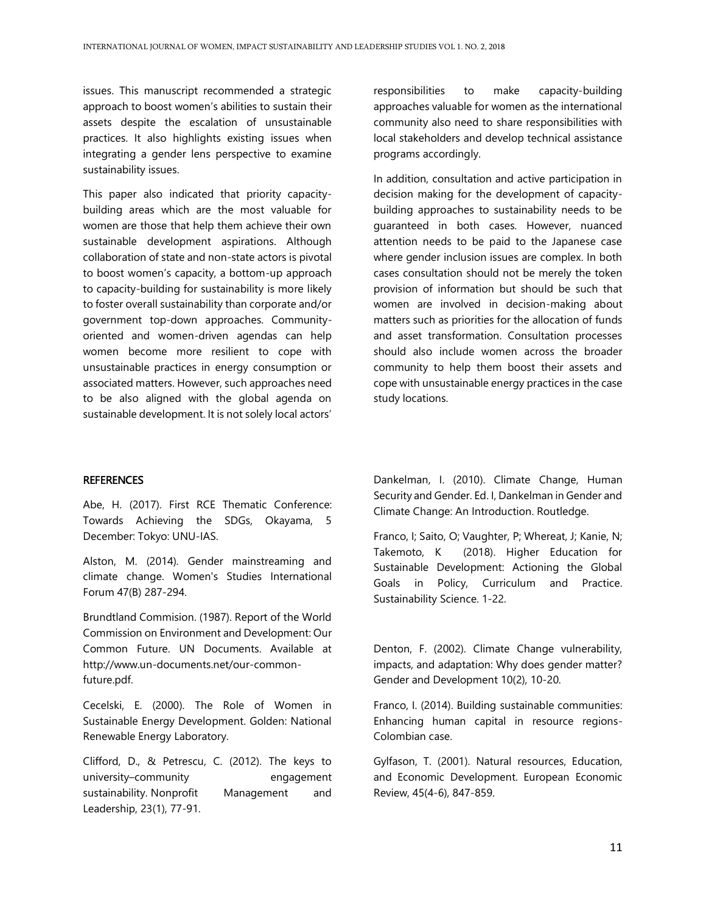issues. This manuscript recommended a strategic approach to boost women's abilities to sustain their assets despite the escalation of unsustainable practices. It also highlights existing issues when integrating a gender lens perspective to examine sustainability issues.

This paper also indicated that priority capacitybuilding areas which are the most valuable for women are those that help them achieve their own sustainable development aspirations. Although collaboration of state and non-state actors is pivotal to boost women's capacity, a bottom-up approach to capacity-building for sustainability is more likely to foster overall sustainability than corporate and/or government top-down approaches. Communityoriented and women-driven agendas can help women become more resilient to cope with unsustainable practices in energy consumption or associated matters. However, such approaches need to be also aligned with the global agenda on sustainable development. It is not solely local actors' responsibilities to make capacity-building approaches valuable for women as the international community also need to share responsibilities with local stakeholders and develop technical assistance programs accordingly.

In addition, consultation and active participation in decision making for the development of capacitybuilding approaches to sustainability needs to be guaranteed in both cases. However, nuanced attention needs to be paid to the Japanese case where gender inclusion issues are complex. In both cases consultation should not be merely the token provision of information but should be such that women are involved in decision-making about matters such as priorities for the allocation of funds and asset transformation. Consultation processes should also include women across the broader community to help them boost their assets and cope with unsustainable energy practices in the case study locations.

### **REFERENCES**

Abe, H. (2017). First RCE Thematic Conference: Towards Achieving the SDGs, Okayama, 5 December: Tokyo: UNU-IAS.

Alston, M. (2014). Gender mainstreaming and climate change. Women's Studies International Forum 47(B) 287-294.

Brundtland Commision. (1987). Report of the World Commission on Environment and Development: Our Common Future. UN Documents. Available at http://www.un-documents.net/our-commonfuture.pdf.

Cecelski, E. (2000). The Role of Women in Sustainable Energy Development. Golden: National Renewable Energy Laboratory.

Clifford, D., & Petrescu, C. (2012). The keys to university–community engagement sustainability. Nonprofit Management and Leadership, 23(1), 77-91.

Dankelman, I. (2010). Climate Change, Human Security and Gender. Ed. I, Dankelman in Gender and Climate Change: An Introduction. Routledge.

Franco, I; Saito, O; Vaughter, P; Whereat, J; Kanie, N; Takemoto, K (2018). Higher Education for Sustainable Development: Actioning the Global Goals in Policy, Curriculum and Practice. Sustainability Science. 1-22.

Denton, F. (2002). Climate Change vulnerability, impacts, and adaptation: Why does gender matter? Gender and Development 10(2), 10-20.

Franco, I. (2014). Building sustainable communities: Enhancing human capital in resource regions-Colombian case.

Gylfason, T. (2001). Natural resources, Education, and Economic Development. European Economic Review, 45(4-6), 847-859.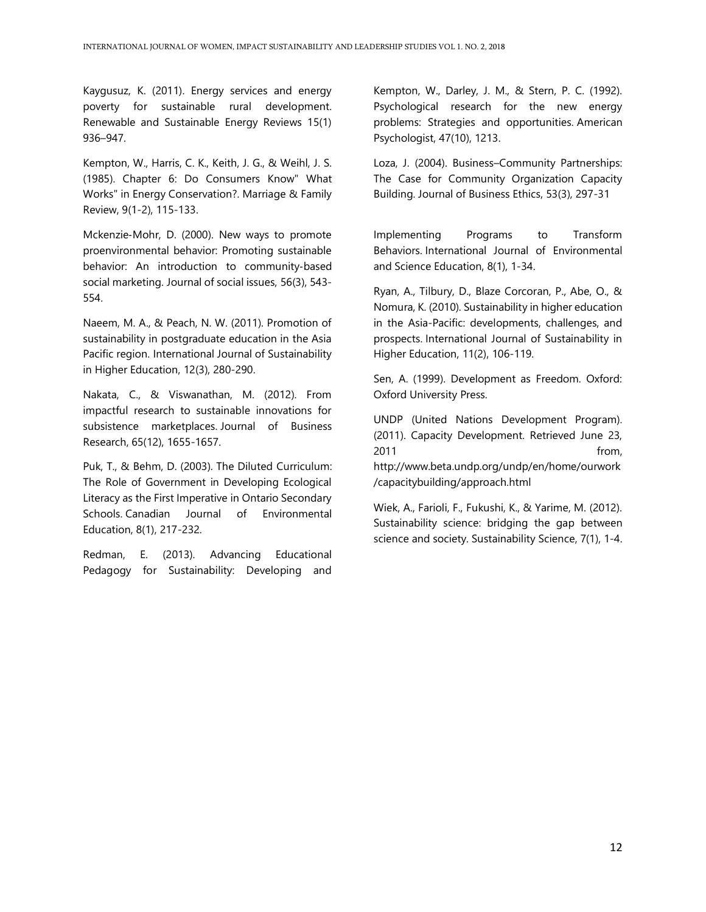Kaygusuz, K. (2011). Energy services and energy poverty for sustainable rural development. Renewable and Sustainable Energy Reviews 15(1) 936–947.

Kempton, W., Harris, C. K., Keith, J. G., & Weihl, J. S. (1985). Chapter 6: Do Consumers Know" What Works" in Energy Conservation?. Marriage & Family Review, 9(1-2), 115-133.

Mckenzie‐Mohr, D. (2000). New ways to promote proenvironmental behavior: Promoting sustainable behavior: An introduction to community‐based social marketing. Journal of social issues, 56(3), 543- 554.

Naeem, M. A., & Peach, N. W. (2011). Promotion of sustainability in postgraduate education in the Asia Pacific region. International Journal of Sustainability in Higher Education, 12(3), 280-290.

Nakata, C., & Viswanathan, M. (2012). From impactful research to sustainable innovations for subsistence marketplaces. Journal of Business Research, 65(12), 1655-1657.

Puk, T., & Behm, D. (2003). The Diluted Curriculum: The Role of Government in Developing Ecological Literacy as the First Imperative in Ontario Secondary Schools. Canadian Journal of Environmental Education, 8(1), 217-232.

Redman, E. (2013). Advancing Educational Pedagogy for Sustainability: Developing and Kempton, W., Darley, J. M., & Stern, P. C. (1992). Psychological research for the new energy problems: Strategies and opportunities. American Psychologist, 47(10), 1213.

Loza, J. (2004). Business–Community Partnerships: The Case for Community Organization Capacity Building. Journal of Business Ethics, 53(3), 297-31

Implementing Programs to Transform Behaviors. International Journal of Environmental and Science Education, 8(1), 1-34.

Ryan, A., Tilbury, D., Blaze Corcoran, P., Abe, O., & Nomura, K. (2010). Sustainability in higher education in the Asia-Pacific: developments, challenges, and prospects. International Journal of Sustainability in Higher Education, 11(2), 106-119.

Sen, A. (1999). Development as Freedom. Oxford: Oxford University Press.

UNDP (United Nations Development Program). (2011). Capacity Development. Retrieved June 23, 2011 **from**,

http://www.beta.undp.org/undp/en/home/ourwork /capacitybuilding/approach.html

Wiek, A., Farioli, F., Fukushi, K., & Yarime, M. (2012). Sustainability science: bridging the gap between science and society. Sustainability Science, 7(1), 1-4.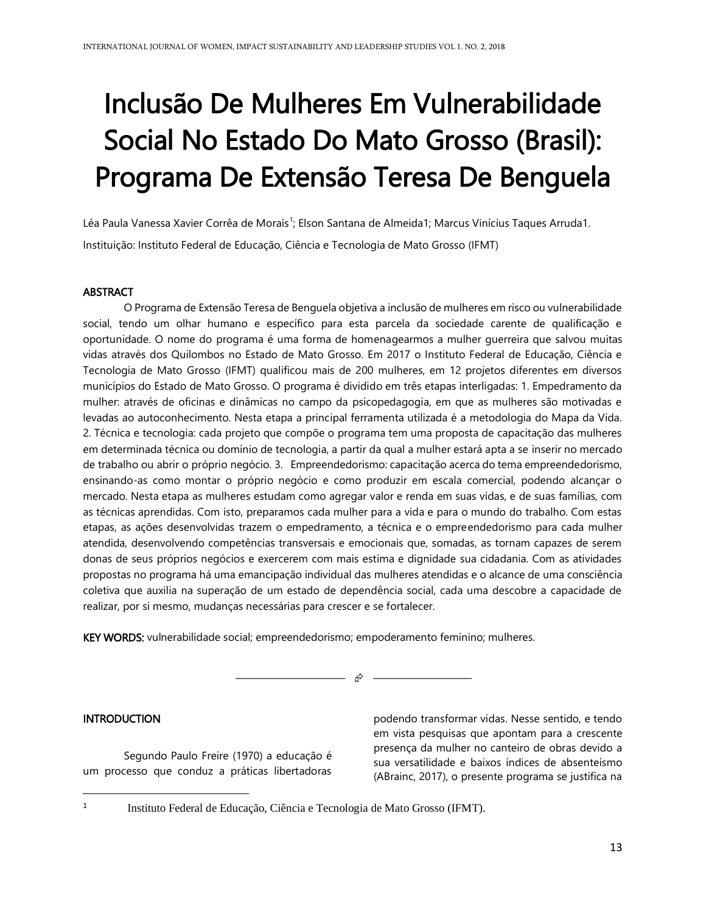# Inclusão De Mulheres Em Vulnerabilidade Social No Estado Do Mato Grosso (Brasil): Programa De Extensão Teresa De Benguela

Léa Paula Vanessa Xavier Corrêa de Morais<sup>1</sup>; Elson Santana de Almeida1; Marcus Vinícius Taques Arruda1. Instituição: Instituto Federal de Educação, Ciência e Tecnologia de Mato Grosso (IFMT)

# **ABSTRACT**

O Programa de Extensão Teresa de Benguela objetiva a inclusão de mulheres em risco ou vulnerabilidade social, tendo um olhar humano e específico para esta parcela da sociedade carente de qualificação e oportunidade. O nome do programa é uma forma de homenagearmos a mulher guerreira que salvou muitas vidas através dos Quilombos no Estado de Mato Grosso. Em 2017 o Instituto Federal de Educação, Ciência e Tecnologia de Mato Grosso (IFMT) qualificou mais de 200 mulheres, em 12 projetos diferentes em diversos municípios do Estado de Mato Grosso. O programa é dividido em três etapas interligadas: 1. Empedramento da mulher: através de oficinas e dinâmicas no campo da psicopedagogia, em que as mulheres são motivadas e levadas ao autoconhecimento. Nesta etapa a principal ferramenta utilizada é a metodologia do Mapa da Vida. 2. Técnica e tecnologia: cada projeto que compõe o programa tem uma proposta de capacitação das mulheres em determinada técnica ou domínio de tecnologia, a partir da qual a mulher estará apta a se inserir no mercado de trabalho ou abrir o próprio negócio. 3. Empreendedorismo: capacitação acerca do tema empreendedorismo, ensinando-as como montar o próprio negócio e como produzir em escala comercial, podendo alcançar o mercado. Nesta etapa as mulheres estudam como agregar valor e renda em suas vidas, e de suas famílias, com as técnicas aprendidas. Com isto, preparamos cada mulher para a vida e para o mundo do trabalho. Com estas etapas, as ações desenvolvidas trazem o empedramento, a técnica e o empreendedorismo para cada mulher atendida, desenvolvendo competências transversais e emocionais que, somadas, as tornam capazes de serem donas de seus próprios negócios e exercerem com mais estima e dignidade sua cidadania. Com as atividades propostas no programa há uma emancipação individual das mulheres atendidas e o alcance de uma consciência coletiva que auxilia na superação de um estado de dependência social, cada uma descobre a capacidade de realizar, por si mesmo, mudanças necessárias para crescer e se fortalecer.

KEY WORDS: vulnerabilidade social; empreendedorismo; empoderamento feminino; mulheres.

#### —————————— —————————

# **INTRODUCTION**

Segundo Paulo Freire (1970) a educação é um processo que conduz a práticas libertadoras

podendo transformar vidas. Nesse sentido, e tendo em vista pesquisas que apontam para a crescente presença da mulher no canteiro de obras devido a sua versatilidade e baixos índices de absenteísmo (ABrainc, 2017), o presente programa se justifica na

 $\overline{a}$ 1

Instituto Federal de Educação, Ciência e Tecnologia de Mato Grosso (IFMT).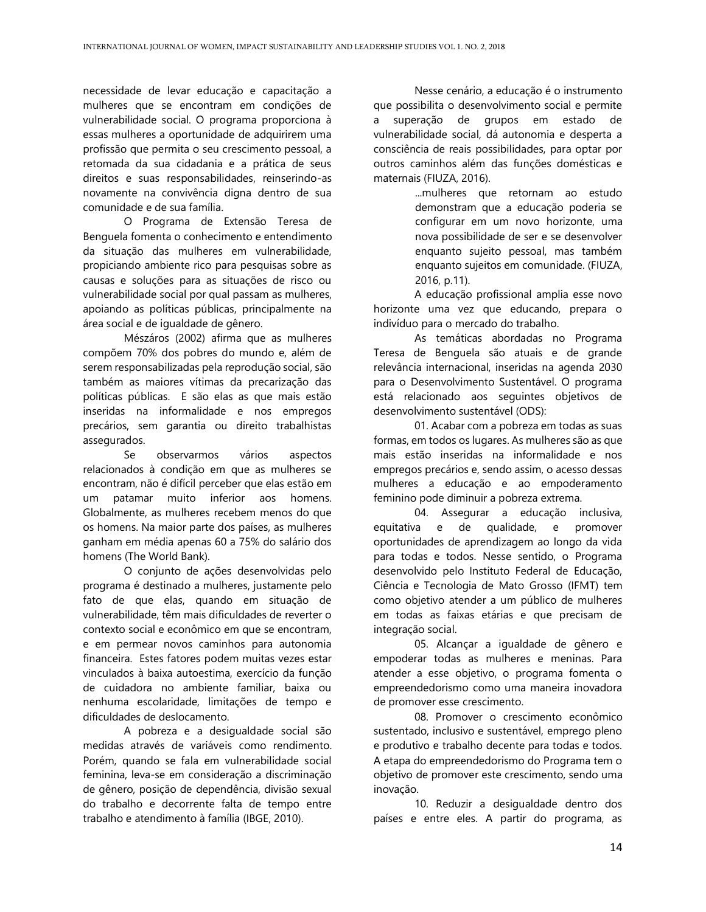necessidade de levar educação e capacitação a mulheres que se encontram em condições de vulnerabilidade social. O programa proporciona à essas mulheres a oportunidade de adquirirem uma profissão que permita o seu crescimento pessoal, a retomada da sua cidadania e a prática de seus direitos e suas responsabilidades, reinserindo-as novamente na convivência digna dentro de sua comunidade e de sua família.

O Programa de Extensão Teresa de Benguela fomenta o conhecimento e entendimento da situação das mulheres em vulnerabilidade, propiciando ambiente rico para pesquisas sobre as causas e soluções para as situações de risco ou vulnerabilidade social por qual passam as mulheres, apoiando as políticas públicas, principalmente na área social e de igualdade de gênero.

Mészáros (2002) afirma que as mulheres compõem 70% dos pobres do mundo e, além de serem responsabilizadas pela reprodução social, são também as maiores vítimas da precarização das políticas públicas. E são elas as que mais estão inseridas na informalidade e nos empregos precários, sem garantia ou direito trabalhistas assegurados.

Se observarmos vários aspectos relacionados à condição em que as mulheres se encontram, não é difícil perceber que elas estão em um patamar muito inferior aos homens. Globalmente, as mulheres recebem menos do que os homens. Na maior parte dos países, as mulheres ganham em média apenas 60 a 75% do salário dos homens (The World Bank).

O conjunto de ações desenvolvidas pelo programa é destinado a mulheres, justamente pelo fato de que elas, quando em situação de vulnerabilidade, têm mais dificuldades de reverter o contexto social e econômico em que se encontram, e em permear novos caminhos para autonomia financeira. Estes fatores podem muitas vezes estar vinculados à baixa autoestima, exercício da função de cuidadora no ambiente familiar, baixa ou nenhuma escolaridade, limitações de tempo e dificuldades de deslocamento.

A pobreza e a desigualdade social são medidas através de variáveis como rendimento. Porém, quando se fala em vulnerabilidade social feminina, leva-se em consideração a discriminação de gênero, posição de dependência, divisão sexual do trabalho e decorrente falta de tempo entre trabalho e atendimento à família (IBGE, 2010).

Nesse cenário, a educação é o instrumento que possibilita o desenvolvimento social e permite a superação de grupos em estado de vulnerabilidade social, dá autonomia e desperta a consciência de reais possibilidades, para optar por outros caminhos além das funções domésticas e maternais (FIUZA, 2016).

> ...mulheres que retornam ao estudo demonstram que a educação poderia se configurar em um novo horizonte, uma nova possibilidade de ser e se desenvolver enquanto sujeito pessoal, mas também enquanto sujeitos em comunidade. (FIUZA, 2016, p.11).

A educação profissional amplia esse novo horizonte uma vez que educando, prepara o indivíduo para o mercado do trabalho.

As temáticas abordadas no Programa Teresa de Benguela são atuais e de grande relevância internacional, inseridas na agenda 2030 para o Desenvolvimento Sustentável. O programa está relacionado aos seguintes objetivos de desenvolvimento sustentável (ODS):

01. Acabar com a pobreza em todas as suas formas, em todos os lugares. As mulheres são as que mais estão inseridas na informalidade e nos empregos precários e, sendo assim, o acesso dessas mulheres a educação e ao empoderamento feminino pode diminuir a pobreza extrema.

04. Assegurar a educação inclusiva, equitativa e de qualidade, e promover oportunidades de aprendizagem ao longo da vida para todas e todos. Nesse sentido, o Programa desenvolvido pelo Instituto Federal de Educação, Ciência e Tecnologia de Mato Grosso (IFMT) tem como objetivo atender a um público de mulheres em todas as faixas etárias e que precisam de integração social.

05. Alcançar a igualdade de gênero e empoderar todas as mulheres e meninas. Para atender a esse objetivo, o programa fomenta o empreendedorismo como uma maneira inovadora de promover esse crescimento.

08. Promover o crescimento econômico sustentado, inclusivo e sustentável, emprego pleno e produtivo e trabalho decente para todas e todos. A etapa do empreendedorismo do Programa tem o objetivo de promover este crescimento, sendo uma inovação.

10. Reduzir a desigualdade dentro dos países e entre eles. A partir do programa, as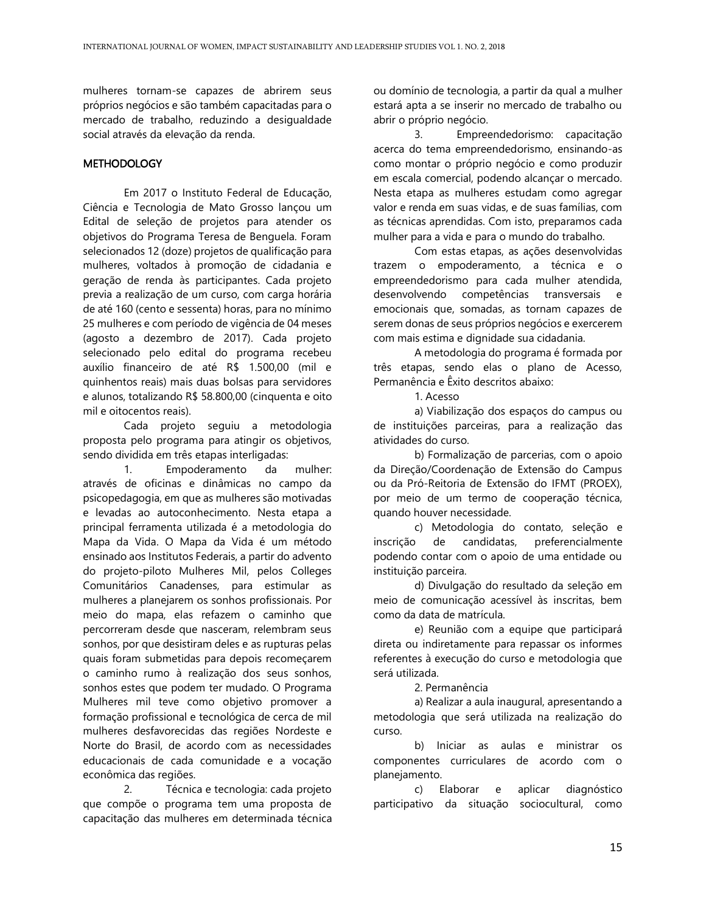mulheres tornam-se capazes de abrirem seus próprios negócios e são também capacitadas para o mercado de trabalho, reduzindo a desigualdade social através da elevação da renda.

### **METHODOLOGY**

Em 2017 o Instituto Federal de Educação, Ciência e Tecnologia de Mato Grosso lançou um Edital de seleção de projetos para atender os objetivos do Programa Teresa de Benguela. Foram selecionados 12 (doze) projetos de qualificação para mulheres, voltados à promoção de cidadania e geração de renda às participantes. Cada projeto previa a realização de um curso, com carga horária de até 160 (cento e sessenta) horas, para no mínimo 25 mulheres e com período de vigência de 04 meses (agosto a dezembro de 2017). Cada projeto selecionado pelo edital do programa recebeu auxílio financeiro de até R\$ 1.500,00 (mil e quinhentos reais) mais duas bolsas para servidores e alunos, totalizando R\$ 58.800,00 (cinquenta e oito mil e oitocentos reais).

Cada projeto seguiu a metodologia proposta pelo programa para atingir os objetivos, sendo dividida em três etapas interligadas:

1. Empoderamento da mulher: através de oficinas e dinâmicas no campo da psicopedagogia, em que as mulheres são motivadas e levadas ao autoconhecimento. Nesta etapa a principal ferramenta utilizada é a metodologia do Mapa da Vida. O Mapa da Vida é um método ensinado aos Institutos Federais, a partir do advento do projeto-piloto Mulheres Mil, pelos Colleges Comunitários Canadenses, para estimular as mulheres a planejarem os sonhos profissionais. Por meio do mapa, elas refazem o caminho que percorreram desde que nasceram, relembram seus sonhos, por que desistiram deles e as rupturas pelas quais foram submetidas para depois recomeçarem o caminho rumo à realização dos seus sonhos, sonhos estes que podem ter mudado. O Programa Mulheres mil teve como objetivo promover a formação profissional e tecnológica de cerca de mil mulheres desfavorecidas das regiões Nordeste e Norte do Brasil, de acordo com as necessidades educacionais de cada comunidade e a vocação econômica das regiões.

2. Técnica e tecnologia: cada projeto que compõe o programa tem uma proposta de capacitação das mulheres em determinada técnica ou domínio de tecnologia, a partir da qual a mulher estará apta a se inserir no mercado de trabalho ou abrir o próprio negócio.

3. Empreendedorismo: capacitação acerca do tema empreendedorismo, ensinando-as como montar o próprio negócio e como produzir em escala comercial, podendo alcançar o mercado. Nesta etapa as mulheres estudam como agregar valor e renda em suas vidas, e de suas famílias, com as técnicas aprendidas. Com isto, preparamos cada mulher para a vida e para o mundo do trabalho.

Com estas etapas, as ações desenvolvidas trazem o empoderamento, a técnica e o empreendedorismo para cada mulher atendida, desenvolvendo competências transversais e emocionais que, somadas, as tornam capazes de serem donas de seus próprios negócios e exercerem com mais estima e dignidade sua cidadania.

A metodologia do programa é formada por três etapas, sendo elas o plano de Acesso, Permanência e Êxito descritos abaixo:

1. Acesso

a) Viabilização dos espaços do campus ou de instituições parceiras, para a realização das atividades do curso.

b) Formalização de parcerias, com o apoio da Direção/Coordenação de Extensão do Campus ou da Pró-Reitoria de Extensão do IFMT (PROEX), por meio de um termo de cooperação técnica, quando houver necessidade.

c) Metodologia do contato, seleção e inscrição de candidatas, preferencialmente podendo contar com o apoio de uma entidade ou instituição parceira.

d) Divulgação do resultado da seleção em meio de comunicação acessível às inscritas, bem como da data de matrícula.

e) Reunião com a equipe que participará direta ou indiretamente para repassar os informes referentes à execução do curso e metodologia que será utilizada.

2. Permanência

a) Realizar a aula inaugural, apresentando a metodologia que será utilizada na realização do curso.

b) Iniciar as aulas e ministrar os componentes curriculares de acordo com o planejamento.

c) Elaborar e aplicar diagnóstico participativo da situação sociocultural, como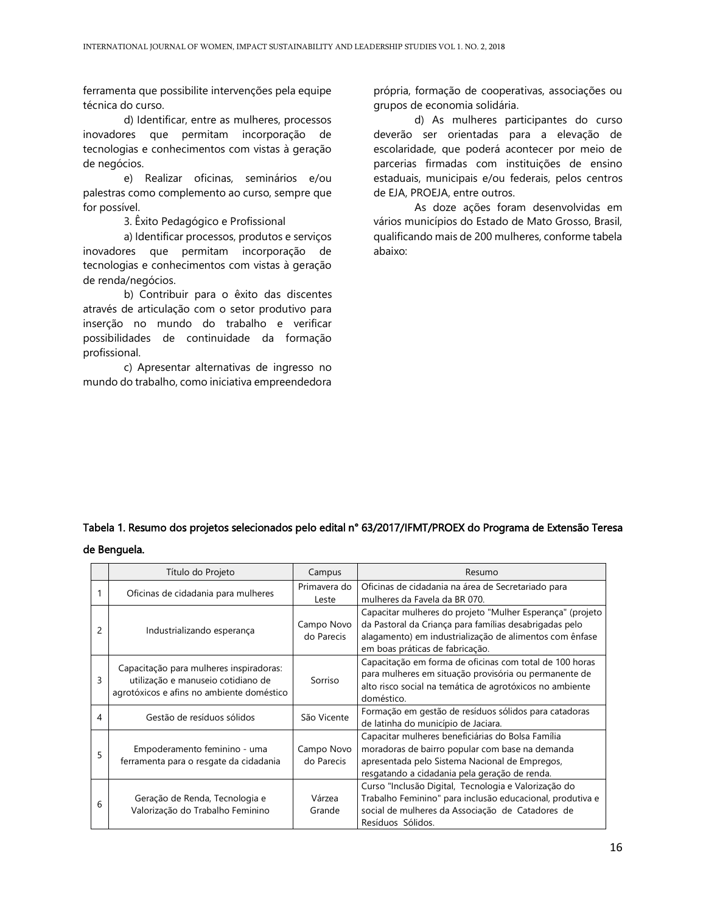ferramenta que possibilite intervenções pela equipe técnica do curso.

d) Identificar, entre as mulheres, processos inovadores que permitam incorporação de tecnologias e conhecimentos com vistas à geração de negócios.

e) Realizar oficinas, seminários e/ou palestras como complemento ao curso, sempre que for possível.

3. Êxito Pedagógico e Profissional

a) Identificar processos, produtos e serviços inovadores que permitam incorporação de tecnologias e conhecimentos com vistas à geração de renda/negócios.

b) Contribuir para o êxito das discentes através de articulação com o setor produtivo para inserção no mundo do trabalho e verificar possibilidades de continuidade da formação profissional.

c) Apresentar alternativas de ingresso no mundo do trabalho, como iniciativa empreendedora

própria, formação de cooperativas, associações ou grupos de economia solidária.

d) As mulheres participantes do curso deverão ser orientadas para a elevação de escolaridade, que poderá acontecer por meio de parcerias firmadas com instituições de ensino estaduais, municipais e/ou federais, pelos centros de EJA, PROEJA, entre outros.

As doze ações foram desenvolvidas em vários municípios do Estado de Mato Grosso, Brasil, qualificando mais de 200 mulheres, conforme tabela abaixo:

# Tabela 1. Resumo dos projetos selecionados pelo edital n° 63/2017/IFMT/PROEX do Programa de Extensão Teresa de Benguela.

|   | Título do Projeto                                                                                                          | Campus                   | Resumo                                                                                                                                                                                                            |
|---|----------------------------------------------------------------------------------------------------------------------------|--------------------------|-------------------------------------------------------------------------------------------------------------------------------------------------------------------------------------------------------------------|
|   | Oficinas de cidadania para mulheres                                                                                        | Primavera do<br>Leste    | Oficinas de cidadania na área de Secretariado para<br>mulheres da Favela da BR 070.                                                                                                                               |
| 2 | Industrializando esperança                                                                                                 | Campo Novo<br>do Parecis | Capacitar mulheres do projeto "Mulher Esperança" (projeto<br>da Pastoral da Criança para famílias desabrigadas pelo<br>alagamento) em industrialização de alimentos com ênfase<br>em boas práticas de fabricação. |
| 3 | Capacitação para mulheres inspiradoras:<br>utilização e manuseio cotidiano de<br>agrotóxicos e afins no ambiente doméstico | Sorriso                  | Capacitação em forma de oficinas com total de 100 horas<br>para mulheres em situação provisória ou permanente de<br>alto risco social na temática de agrotóxicos no ambiente<br>doméstico.                        |
| 4 | Gestão de resíduos sólidos                                                                                                 | São Vicente              | Formação em gestão de resíduos sólidos para catadoras<br>de latinha do município de Jaciara.                                                                                                                      |
| 5 | Empoderamento feminino - uma<br>ferramenta para o resgate da cidadania                                                     | Campo Novo<br>do Parecis | Capacitar mulheres beneficiárias do Bolsa Família<br>moradoras de bairro popular com base na demanda<br>apresentada pelo Sistema Nacional de Empregos,<br>resgatando a cidadania pela geração de renda.           |
| 6 | Geração de Renda, Tecnologia e<br>Valorização do Trabalho Feminino                                                         | Várzea<br>Grande         | Curso "Inclusão Digital, Tecnologia e Valorização do<br>Trabalho Feminino" para inclusão educacional, produtiva e<br>social de mulheres da Associação de Catadores de<br>Resíduos Sólidos.                        |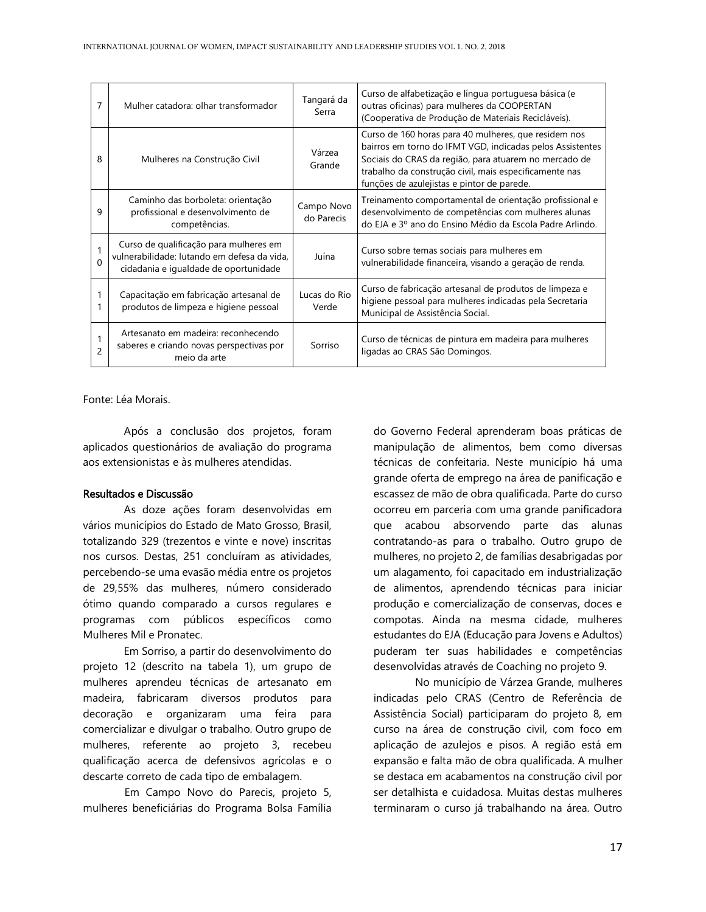|               | Mulher catadora: olhar transformador                                                                                           | Tangará da<br>Serra      | Curso de alfabetização e língua portuguesa básica (e<br>outras oficinas) para mulheres da COOPERTAN<br>(Cooperativa de Produção de Materiais Recicláveis).                                                                                                                         |
|---------------|--------------------------------------------------------------------------------------------------------------------------------|--------------------------|------------------------------------------------------------------------------------------------------------------------------------------------------------------------------------------------------------------------------------------------------------------------------------|
| 8             | Mulheres na Construção Civil                                                                                                   | Várzea<br>Grande         | Curso de 160 horas para 40 mulheres, que residem nos<br>bairros em torno do IFMT VGD, indicadas pelos Assistentes<br>Sociais do CRAS da região, para atuarem no mercado de<br>trabalho da construção civil, mais especificamente nas<br>funções de azulejistas e pintor de parede. |
| 9             | Caminho das borboleta: orientação<br>profissional e desenvolvimento de<br>competências.                                        | Campo Novo<br>do Parecis | Treinamento comportamental de orientação profissional e<br>desenvolvimento de competências com mulheres alunas<br>do EJA e 3º ano do Ensino Médio da Escola Padre Arlindo.                                                                                                         |
| $\Omega$      | Curso de qualificação para mulheres em<br>vulnerabilidade: lutando em defesa da vida,<br>cidadania e igualdade de oportunidade | Juína                    | Curso sobre temas sociais para mulheres em<br>vulnerabilidade financeira, visando a geração de renda.                                                                                                                                                                              |
|               | Capacitação em fabricação artesanal de<br>produtos de limpeza e higiene pessoal                                                | Lucas do Rio<br>Verde    | Curso de fabricação artesanal de produtos de limpeza e<br>higiene pessoal para mulheres indicadas pela Secretaria<br>Municipal de Assistência Social.                                                                                                                              |
| $\mathcal{P}$ | Artesanato em madeira: reconhecendo<br>saberes e criando novas perspectivas por<br>meio da arte                                | Sorriso                  | Curso de técnicas de pintura em madeira para mulheres<br>ligadas ao CRAS São Domingos.                                                                                                                                                                                             |

Fonte: Léa Morais.

Após a conclusão dos projetos, foram aplicados questionários de avaliação do programa aos extensionistas e às mulheres atendidas.

### Resultados e Discussão

As doze ações foram desenvolvidas em vários municípios do Estado de Mato Grosso, Brasil, totalizando 329 (trezentos e vinte e nove) inscritas nos cursos. Destas, 251 concluíram as atividades, percebendo-se uma evasão média entre os projetos de 29,55% das mulheres, número considerado ótimo quando comparado a cursos regulares e programas com públicos específicos como Mulheres Mil e Pronatec.

Em Sorriso, a partir do desenvolvimento do projeto 12 (descrito na tabela 1), um grupo de mulheres aprendeu técnicas de artesanato em madeira, fabricaram diversos produtos para decoração e organizaram uma feira para comercializar e divulgar o trabalho. Outro grupo de mulheres, referente ao projeto 3, recebeu qualificação acerca de defensivos agrícolas e o descarte correto de cada tipo de embalagem.

Em Campo Novo do Parecis, projeto 5, mulheres beneficiárias do Programa Bolsa Família do Governo Federal aprenderam boas práticas de manipulação de alimentos, bem como diversas técnicas de confeitaria. Neste município há uma grande oferta de emprego na área de panificação e escassez de mão de obra qualificada. Parte do curso ocorreu em parceria com uma grande panificadora que acabou absorvendo parte das alunas contratando-as para o trabalho. Outro grupo de mulheres, no projeto 2, de famílias desabrigadas por um alagamento, foi capacitado em industrialização de alimentos, aprendendo técnicas para iniciar produção e comercialização de conservas, doces e compotas. Ainda na mesma cidade, mulheres estudantes do EJA (Educação para Jovens e Adultos) puderam ter suas habilidades e competências desenvolvidas através de Coaching no projeto 9.

No município de Várzea Grande, mulheres indicadas pelo CRAS (Centro de Referência de Assistência Social) participaram do projeto 8, em curso na área de construção civil, com foco em aplicação de azulejos e pisos. A região está em expansão e falta mão de obra qualificada. A mulher se destaca em acabamentos na construção civil por ser detalhista e cuidadosa. Muitas destas mulheres terminaram o curso já trabalhando na área. Outro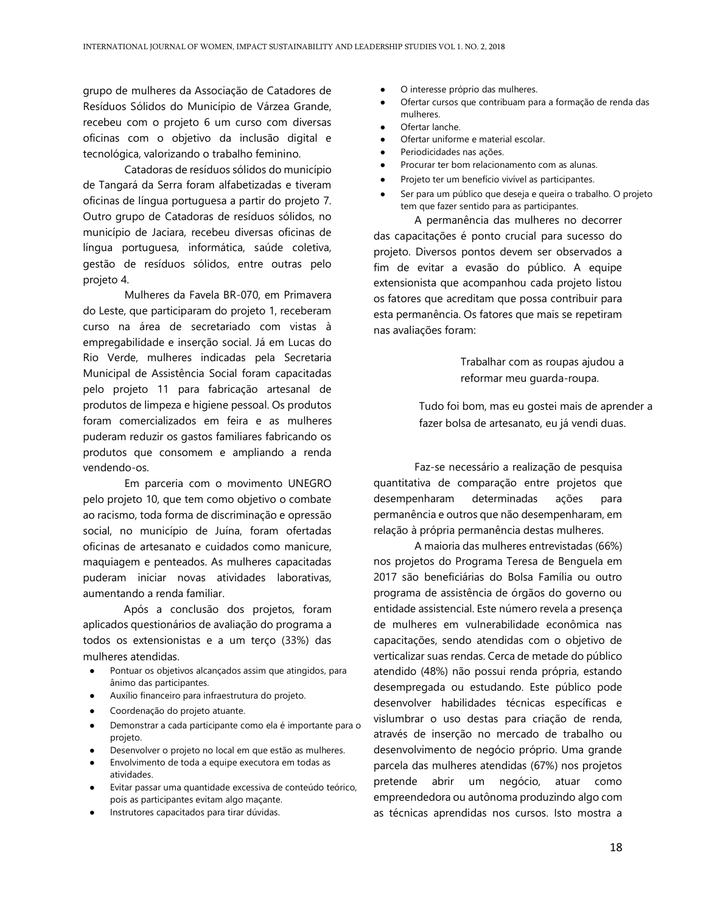grupo de mulheres da Associação de Catadores de Resíduos Sólidos do Município de Várzea Grande, recebeu com o projeto 6 um curso com diversas oficinas com o objetivo da inclusão digital e tecnológica, valorizando o trabalho feminino.

Catadoras de resíduos sólidos do município de Tangará da Serra foram alfabetizadas e tiveram oficinas de língua portuguesa a partir do projeto 7. Outro grupo de Catadoras de resíduos sólidos, no município de Jaciara, recebeu diversas oficinas de língua portuguesa, informática, saúde coletiva, gestão de resíduos sólidos, entre outras pelo projeto 4.

Mulheres da Favela BR-070, em Primavera do Leste, que participaram do projeto 1, receberam curso na área de secretariado com vistas à empregabilidade e inserção social. Já em Lucas do Rio Verde, mulheres indicadas pela Secretaria Municipal de Assistência Social foram capacitadas pelo projeto 11 para fabricação artesanal de produtos de limpeza e higiene pessoal. Os produtos foram comercializados em feira e as mulheres puderam reduzir os gastos familiares fabricando os produtos que consomem e ampliando a renda vendendo-os.

Em parceria com o movimento UNEGRO pelo projeto 10, que tem como objetivo o combate ao racismo, toda forma de discriminação e opressão social, no município de Juína, foram ofertadas oficinas de artesanato e cuidados como manicure, maquiagem e penteados. As mulheres capacitadas puderam iniciar novas atividades laborativas, aumentando a renda familiar.

Após a conclusão dos projetos, foram aplicados questionários de avaliação do programa a todos os extensionistas e a um terço (33%) das mulheres atendidas.

- Pontuar os objetivos alcançados assim que atingidos, para ânimo das participantes.
- Auxílio financeiro para infraestrutura do projeto.
- Coordenação do projeto atuante.
- Demonstrar a cada participante como ela é importante para o projeto.
- Desenvolver o projeto no local em que estão as mulheres.
- Envolvimento de toda a equipe executora em todas as atividades.
- Evitar passar uma quantidade excessiva de conteúdo teórico, pois as participantes evitam algo maçante.
- Instrutores capacitados para tirar dúvidas.
- O interesse próprio das mulheres.
- Ofertar cursos que contribuam para a formação de renda das mulheres.
- Ofertar lanche.
- Ofertar uniforme e material escolar.
- Periodicidades nas ações.
- Procurar ter bom relacionamento com as alunas.
- Projeto ter um benefício vivível as participantes.
- Ser para um público que deseja e queira o trabalho. O projeto tem que fazer sentido para as participantes.

A permanência das mulheres no decorrer das capacitações é ponto crucial para sucesso do projeto. Diversos pontos devem ser observados a fim de evitar a evasão do público. A equipe extensionista que acompanhou cada projeto listou os fatores que acreditam que possa contribuir para esta permanência. Os fatores que mais se repetiram nas avaliações foram:

> Trabalhar com as roupas ajudou a reformar meu guarda-roupa.

Tudo foi bom, mas eu gostei mais de aprender a fazer bolsa de artesanato, eu já vendi duas.

Faz-se necessário a realização de pesquisa quantitativa de comparação entre projetos que desempenharam determinadas ações para permanência e outros que não desempenharam, em relação à própria permanência destas mulheres.

A maioria das mulheres entrevistadas (66%) nos projetos do Programa Teresa de Benguela em 2017 são beneficiárias do Bolsa Família ou outro programa de assistência de órgãos do governo ou entidade assistencial. Este número revela a presença de mulheres em vulnerabilidade econômica nas capacitações, sendo atendidas com o objetivo de verticalizar suas rendas. Cerca de metade do público atendido (48%) não possui renda própria, estando desempregada ou estudando. Este público pode desenvolver habilidades técnicas específicas e vislumbrar o uso destas para criação de renda, através de inserção no mercado de trabalho ou desenvolvimento de negócio próprio. Uma grande parcela das mulheres atendidas (67%) nos projetos pretende abrir um negócio, atuar como empreendedora ou autônoma produzindo algo com as técnicas aprendidas nos cursos. Isto mostra a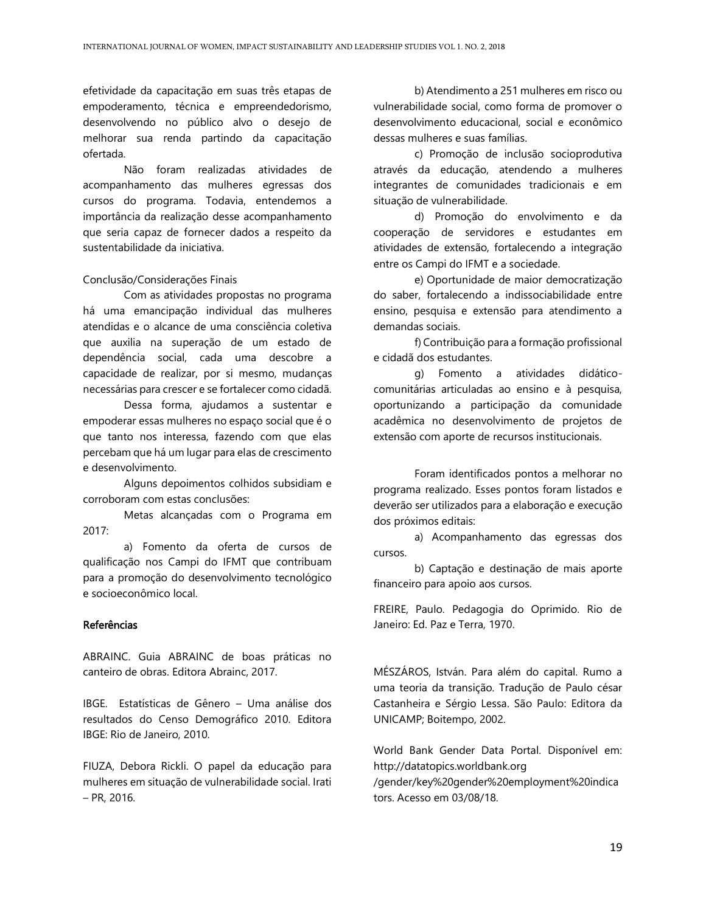efetividade da capacitação em suas três etapas de empoderamento, técnica e empreendedorismo, desenvolvendo no público alvo o desejo de melhorar sua renda partindo da capacitação ofertada.

Não foram realizadas atividades de acompanhamento das mulheres egressas dos cursos do programa. Todavia, entendemos a importância da realização desse acompanhamento que seria capaz de fornecer dados a respeito da sustentabilidade da iniciativa.

# Conclusão/Considerações Finais

Com as atividades propostas no programa há uma emancipação individual das mulheres atendidas e o alcance de uma consciência coletiva que auxilia na superação de um estado de dependência social, cada uma descobre a capacidade de realizar, por si mesmo, mudanças necessárias para crescer e se fortalecer como cidadã.

Dessa forma, ajudamos a sustentar e empoderar essas mulheres no espaço social que é o que tanto nos interessa, fazendo com que elas percebam que há um lugar para elas de crescimento e desenvolvimento.

Alguns depoimentos colhidos subsidiam e corroboram com estas conclusões:

Metas alcançadas com o Programa em 2017:

a) Fomento da oferta de cursos de qualificação nos Campi do IFMT que contribuam para a promoção do desenvolvimento tecnológico e socioeconômico local.

### Referências

ABRAINC. Guia ABRAINC de boas práticas no canteiro de obras. Editora Abrainc, 2017.

IBGE. Estatísticas de Gênero – Uma análise dos resultados do Censo Demográfico 2010. Editora IBGE: Rio de Janeiro, 2010.

FIUZA, Debora Rickli. O papel da educação para mulheres em situação de vulnerabilidade social. Irati – PR, 2016.

b) Atendimento a 251 mulheres em risco ou vulnerabilidade social, como forma de promover o desenvolvimento educacional, social e econômico dessas mulheres e suas famílias.

c) Promoção de inclusão socioprodutiva através da educação, atendendo a mulheres integrantes de comunidades tradicionais e em situação de vulnerabilidade.

d) Promoção do envolvimento e da cooperação de servidores e estudantes em atividades de extensão, fortalecendo a integração entre os Campi do IFMT e a sociedade.

e) Oportunidade de maior democratização do saber, fortalecendo a indissociabilidade entre ensino, pesquisa e extensão para atendimento a demandas sociais.

f) Contribuição para a formação profissional e cidadã dos estudantes.

g) Fomento a atividades didáticocomunitárias articuladas ao ensino e à pesquisa, oportunizando a participação da comunidade acadêmica no desenvolvimento de projetos de extensão com aporte de recursos institucionais.

Foram identificados pontos a melhorar no programa realizado. Esses pontos foram listados e deverão ser utilizados para a elaboração e execução dos próximos editais:

a) Acompanhamento das egressas dos cursos.

b) Captação e destinação de mais aporte financeiro para apoio aos cursos.

FREIRE, Paulo. Pedagogia do Oprimido. Rio de Janeiro: Ed. Paz e Terra, 1970.

MÉSZÁROS, István. Para além do capital. Rumo a uma teoria da transição. Tradução de Paulo césar Castanheira e Sérgio Lessa. São Paulo: Editora da UNICAMP; Boitempo, 2002.

World Bank Gender Data Portal. Disponível em: http://datatopics.worldbank.org

/gender/key%20gender%20employment%20indica tors. Acesso em 03/08/18.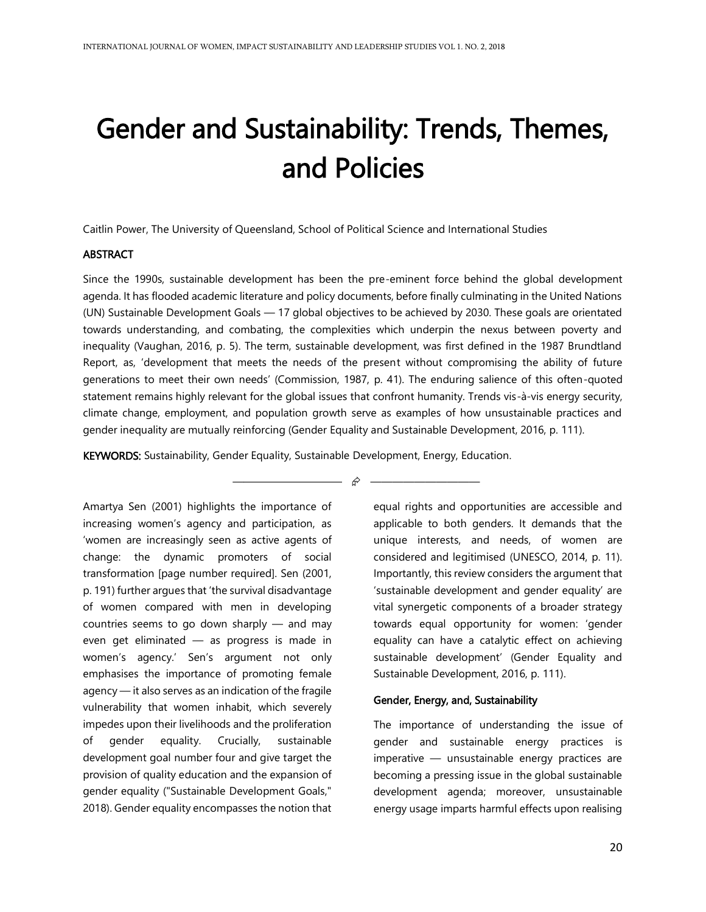# Gender and Sustainability: Trends, Themes, and Policies

Caitlin Power, The University of Queensland, School of Political Science and International Studies

# **ABSTRACT**

Since the 1990s, sustainable development has been the pre-eminent force behind the global development agenda. It has flooded academic literature and policy documents, before finally culminating in the United Nations (UN) Sustainable Development Goals — 17 global objectives to be achieved by 2030. These goals are orientated towards understanding, and combating, the complexities which underpin the nexus between poverty and inequality (Vaughan, 2016, p. 5). The term, sustainable development, was first defined in the 1987 Brundtland Report, as, 'development that meets the needs of the present without compromising the ability of future generations to meet their own needs' (Commission, 1987, p. 41). The enduring salience of this often-quoted statement remains highly relevant for the global issues that confront humanity. Trends vis-à-vis energy security, climate change, employment, and population growth serve as examples of how unsustainable practices and gender inequality are mutually reinforcing (Gender Equality and Sustainable Development, 2016, p. 111).

KEYWORDS: Sustainability, Gender Equality, Sustainable Development, Energy, Education.

—————————— ——————————

Amartya Sen (2001) highlights the importance of increasing women's agency and participation, as 'women are increasingly seen as active agents of change: the dynamic promoters of social transformation [page number required]. Sen (2001, p. 191) further argues that 'the survival disadvantage of women compared with men in developing countries seems to go down sharply — and may even get eliminated — as progress is made in women's agency.' Sen's argument not only emphasises the importance of promoting female agency — it also serves as an indication of the fragile vulnerability that women inhabit, which severely impedes upon their livelihoods and the proliferation of gender equality. Crucially, sustainable development goal number four and give target the provision of quality education and the expansion of gender equality ("Sustainable Development Goals," 2018). Gender equality encompasses the notion that

equal rights and opportunities are accessible and applicable to both genders. It demands that the unique interests, and needs, of women are considered and legitimised (UNESCO, 2014, p. 11). Importantly, this review considers the argument that 'sustainable development and gender equality' are vital synergetic components of a broader strategy towards equal opportunity for women: 'gender equality can have a catalytic effect on achieving sustainable development' (Gender Equality and Sustainable Development, 2016, p. 111).

### Gender, Energy, and, Sustainability

The importance of understanding the issue of gender and sustainable energy practices is imperative — unsustainable energy practices are becoming a pressing issue in the global sustainable development agenda; moreover, unsustainable energy usage imparts harmful effects upon realising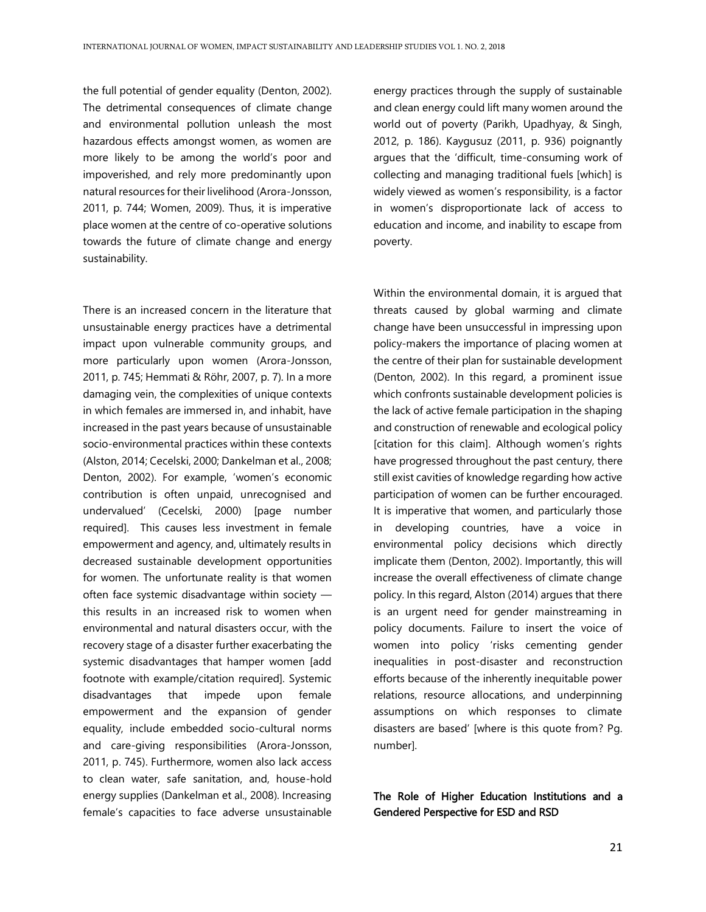the full potential of gender equality (Denton, 2002). The detrimental consequences of climate change and environmental pollution unleash the most hazardous effects amongst women, as women are more likely to be among the world's poor and impoverished, and rely more predominantly upon natural resources for their livelihood (Arora-Jonsson, 2011, p. 744; Women, 2009). Thus, it is imperative place women at the centre of co-operative solutions towards the future of climate change and energy sustainability.

There is an increased concern in the literature that unsustainable energy practices have a detrimental impact upon vulnerable community groups, and more particularly upon women (Arora-Jonsson, 2011, p. 745; Hemmati & Röhr, 2007, p. 7). In a more damaging vein, the complexities of unique contexts in which females are immersed in, and inhabit, have increased in the past years because of unsustainable socio-environmental practices within these contexts (Alston, 2014; Cecelski, 2000; Dankelman et al., 2008; Denton, 2002). For example, 'women's economic contribution is often unpaid, unrecognised and undervalued' (Cecelski, 2000) [page number required]. This causes less investment in female empowerment and agency, and, ultimately results in decreased sustainable development opportunities for women. The unfortunate reality is that women often face systemic disadvantage within society this results in an increased risk to women when environmental and natural disasters occur, with the recovery stage of a disaster further exacerbating the systemic disadvantages that hamper women [add footnote with example/citation required]. Systemic disadvantages that impede upon female empowerment and the expansion of gender equality, include embedded socio-cultural norms and care-giving responsibilities (Arora-Jonsson, 2011, p. 745). Furthermore, women also lack access to clean water, safe sanitation, and, house-hold energy supplies (Dankelman et al., 2008). Increasing female's capacities to face adverse unsustainable

energy practices through the supply of sustainable and clean energy could lift many women around the world out of poverty (Parikh, Upadhyay, & Singh, 2012, p. 186). Kaygusuz (2011, p. 936) poignantly argues that the 'difficult, time-consuming work of collecting and managing traditional fuels [which] is widely viewed as women's responsibility, is a factor in women's disproportionate lack of access to education and income, and inability to escape from poverty.

Within the environmental domain, it is argued that threats caused by global warming and climate change have been unsuccessful in impressing upon policy-makers the importance of placing women at the centre of their plan for sustainable development (Denton, 2002). In this regard, a prominent issue which confronts sustainable development policies is the lack of active female participation in the shaping and construction of renewable and ecological policy [citation for this claim]. Although women's rights have progressed throughout the past century, there still exist cavities of knowledge regarding how active participation of women can be further encouraged. It is imperative that women, and particularly those in developing countries, have a voice in environmental policy decisions which directly implicate them (Denton, 2002). Importantly, this will increase the overall effectiveness of climate change policy. In this regard, Alston (2014) argues that there is an urgent need for gender mainstreaming in policy documents. Failure to insert the voice of women into policy 'risks cementing gender inequalities in post-disaster and reconstruction efforts because of the inherently inequitable power relations, resource allocations, and underpinning assumptions on which responses to climate disasters are based' [where is this quote from? Pg. number].

The Role of Higher Education Institutions and a Gendered Perspective for ESD and RSD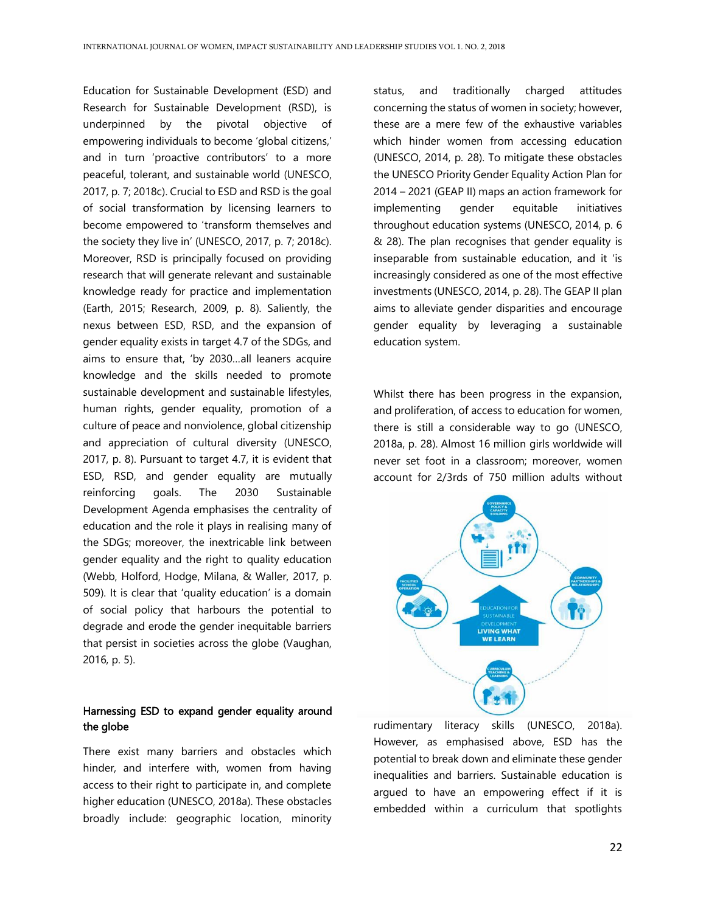Education for Sustainable Development (ESD) and Research for Sustainable Development (RSD), is underpinned by the pivotal objective of empowering individuals to become 'global citizens,' and in turn 'proactive contributors' to a more peaceful, tolerant, and sustainable world (UNESCO, 2017, p. 7; 2018c). Crucial to ESD and RSD is the goal of social transformation by licensing learners to become empowered to 'transform themselves and the society they live in' (UNESCO, 2017, p. 7; 2018c). Moreover, RSD is principally focused on providing research that will generate relevant and sustainable knowledge ready for practice and implementation (Earth, 2015; Research, 2009, p. 8). Saliently, the nexus between ESD, RSD, and the expansion of gender equality exists in target 4.7 of the SDGs, and aims to ensure that, 'by 2030…all leaners acquire knowledge and the skills needed to promote sustainable development and sustainable lifestyles, human rights, gender equality, promotion of a culture of peace and nonviolence, global citizenship and appreciation of cultural diversity (UNESCO, 2017, p. 8). Pursuant to target 4.7, it is evident that ESD, RSD, and gender equality are mutually reinforcing goals. The 2030 Sustainable Development Agenda emphasises the centrality of education and the role it plays in realising many of the SDGs; moreover, the inextricable link between gender equality and the right to quality education (Webb, Holford, Hodge, Milana, & Waller, 2017, p. 509). It is clear that 'quality education' is a domain of social policy that harbours the potential to degrade and erode the gender inequitable barriers that persist in societies across the globe (Vaughan, 2016, p. 5).

# Harnessing ESD to expand gender equality around the globe

There exist many barriers and obstacles which hinder, and interfere with, women from having access to their right to participate in, and complete higher education (UNESCO, 2018a). These obstacles broadly include: geographic location, minority status, and traditionally charged attitudes concerning the status of women in society; however, these are a mere few of the exhaustive variables which hinder women from accessing education (UNESCO, 2014, p. 28). To mitigate these obstacles the UNESCO Priority Gender Equality Action Plan for 2014 – 2021 (GEAP II) maps an action framework for implementing gender equitable initiatives throughout education systems (UNESCO, 2014, p. 6 & 28). The plan recognises that gender equality is inseparable from sustainable education, and it 'is increasingly considered as one of the most effective investments (UNESCO, 2014, p. 28). The GEAP II plan aims to alleviate gender disparities and encourage gender equality by leveraging a sustainable education system.

Whilst there has been progress in the expansion, and proliferation, of access to education for women, there is still a considerable way to go (UNESCO, 2018a, p. 28). Almost 16 million girls worldwide will never set foot in a classroom; moreover, women account for 2/3rds of 750 million adults without



rudimentary literacy skills (UNESCO, 2018a). However, as emphasised above, ESD has the potential to break down and eliminate these gender inequalities and barriers. Sustainable education is argued to have an empowering effect if it is embedded within a curriculum that spotlights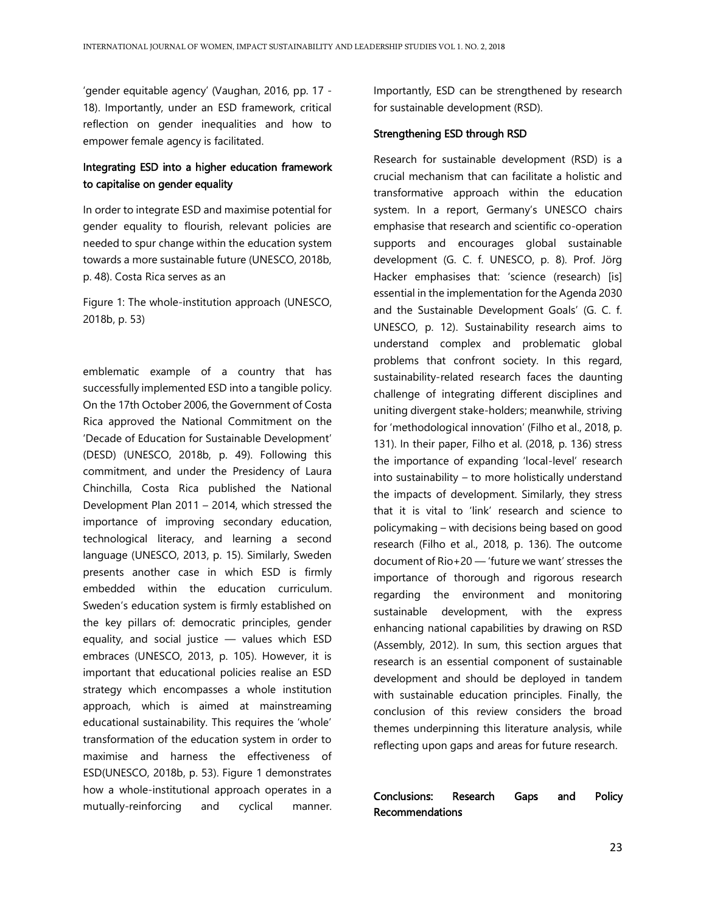'gender equitable agency' (Vaughan, 2016, pp. 17 - 18). Importantly, under an ESD framework, critical reflection on gender inequalities and how to empower female agency is facilitated.

# Integrating ESD into a higher education framework to capitalise on gender equality

In order to integrate ESD and maximise potential for gender equality to flourish, relevant policies are needed to spur change within the education system towards a more sustainable future (UNESCO, 2018b, p. 48). Costa Rica serves as an

Figure 1: The whole-institution approach (UNESCO, 2018b, p. 53)

emblematic example of a country that has successfully implemented ESD into a tangible policy. On the 17th October 2006, the Government of Costa Rica approved the National Commitment on the 'Decade of Education for Sustainable Development' (DESD) (UNESCO, 2018b, p. 49). Following this commitment, and under the Presidency of Laura Chinchilla, Costa Rica published the National Development Plan 2011 – 2014, which stressed the importance of improving secondary education, technological literacy, and learning a second language (UNESCO, 2013, p. 15). Similarly, Sweden presents another case in which ESD is firmly embedded within the education curriculum. Sweden's education system is firmly established on the key pillars of: democratic principles, gender equality, and social justice — values which ESD embraces (UNESCO, 2013, p. 105). However, it is important that educational policies realise an ESD strategy which encompasses a whole institution approach, which is aimed at mainstreaming educational sustainability. This requires the 'whole' transformation of the education system in order to maximise and harness the effectiveness of ESD(UNESCO, 2018b, p. 53). Figure 1 demonstrates how a whole-institutional approach operates in a mutually-reinforcing and cyclical manner.

Importantly, ESD can be strengthened by research for sustainable development (RSD).

# Strengthening ESD through RSD

Research for sustainable development (RSD) is a crucial mechanism that can facilitate a holistic and transformative approach within the education system. In a report, Germany's UNESCO chairs emphasise that research and scientific co-operation supports and encourages global sustainable development (G. C. f. UNESCO, p. 8). Prof. Jörg Hacker emphasises that: 'science (research) [is] essential in the implementation for the Agenda 2030 and the Sustainable Development Goals' (G. C. f. UNESCO, p. 12). Sustainability research aims to understand complex and problematic global problems that confront society. In this regard, sustainability-related research faces the daunting challenge of integrating different disciplines and uniting divergent stake-holders; meanwhile, striving for 'methodological innovation' (Filho et al., 2018, p. 131). In their paper, Filho et al. (2018, p. 136) stress the importance of expanding 'local-level' research into sustainability – to more holistically understand the impacts of development. Similarly, they stress that it is vital to 'link' research and science to policymaking – with decisions being based on good research (Filho et al., 2018, p. 136). The outcome document of Rio+20 — 'future we want' stresses the importance of thorough and rigorous research regarding the environment and monitoring sustainable development, with the express enhancing national capabilities by drawing on RSD (Assembly, 2012). In sum, this section argues that research is an essential component of sustainable development and should be deployed in tandem with sustainable education principles. Finally, the conclusion of this review considers the broad themes underpinning this literature analysis, while reflecting upon gaps and areas for future research.

Conclusions: Research Gaps and Policy Recommendations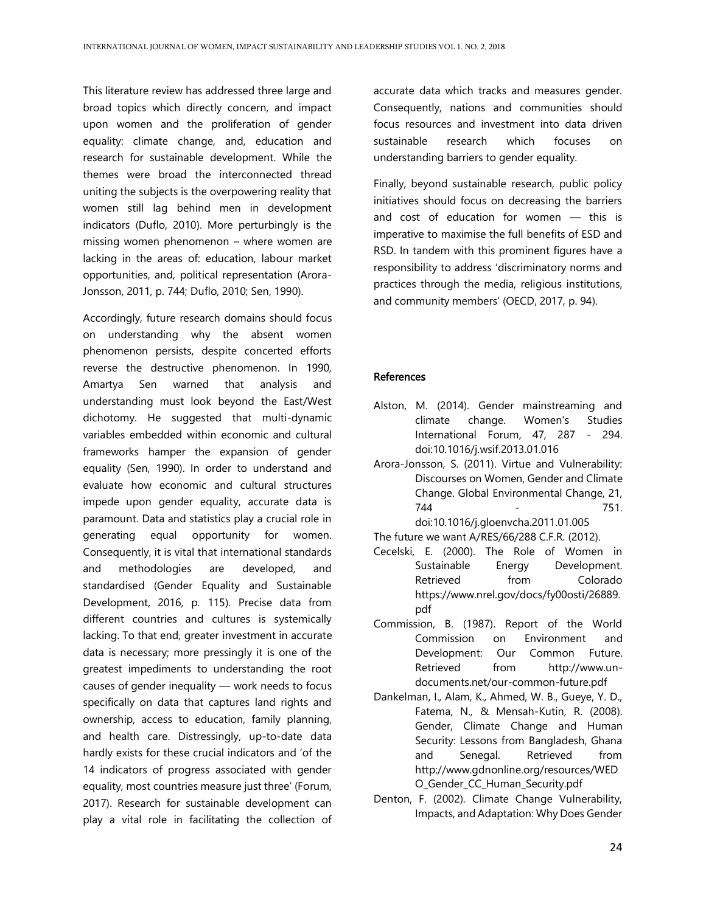This literature review has addressed three large and broad topics which directly concern, and impact upon women and the proliferation of gender equality: climate change, and, education and research for sustainable development. While the themes were broad the interconnected thread uniting the subjects is the overpowering reality that women still lag behind men in development indicators (Duflo, 2010). More perturbingly is the missing women phenomenon – where women are lacking in the areas of: education, labour market opportunities, and, political representation (Arora-Jonsson, 2011, p. 744; Duflo, 2010; Sen, 1990).

Accordingly, future research domains should focus on understanding why the absent women phenomenon persists, despite concerted efforts reverse the destructive phenomenon. In 1990, Amartya Sen warned that analysis and understanding must look beyond the East/West dichotomy. He suggested that multi-dynamic variables embedded within economic and cultural frameworks hamper the expansion of gender equality (Sen, 1990). In order to understand and evaluate how economic and cultural structures impede upon gender equality, accurate data is paramount. Data and statistics play a crucial role in generating equal opportunity for women. Consequently, it is vital that international standards and methodologies are developed, and standardised (Gender Equality and Sustainable Development, 2016, p. 115). Precise data from different countries and cultures is systemically lacking. To that end, greater investment in accurate data is necessary; more pressingly it is one of the greatest impediments to understanding the root causes of gender inequality — work needs to focus specifically on data that captures land rights and ownership, access to education, family planning, and health care. Distressingly, up-to-date data hardly exists for these crucial indicators and 'of the 14 indicators of progress associated with gender equality, most countries measure just three' (Forum, 2017). Research for sustainable development can play a vital role in facilitating the collection of

accurate data which tracks and measures gender. Consequently, nations and communities should focus resources and investment into data driven sustainable research which focuses on understanding barriers to gender equality.

Finally, beyond sustainable research, public policy initiatives should focus on decreasing the barriers and cost of education for women — this is imperative to maximise the full benefits of ESD and RSD. In tandem with this prominent figures have a responsibility to address 'discriminatory norms and practices through the media, religious institutions, and community members' (OECD, 2017, p. 94).

### **References**

- Alston, M. (2014). Gender mainstreaming and climate change. Women's Studies International Forum, 47, 287 - 294. doi:10.1016/j.wsif.2013.01.016
- Arora-Jonsson, S. (2011). Virtue and Vulnerability: Discourses on Women, Gender and Climate Change. Global Environmental Change, 21, 744 - 751. doi:10.1016/j.gloenvcha.2011.01.005

The future we want A/RES/66/288 C.F.R. (2012).

- Cecelski, E. (2000). The Role of Women in Sustainable Energy Development. Retrieved from Colorado [https://www.nrel.gov/docs/fy00osti/26889.](https://www.nrel.gov/docs/fy00osti/26889.pdf) [pdf](https://www.nrel.gov/docs/fy00osti/26889.pdf)
- Commission, B. (1987). Report of the World Commission on Environment and Development: Our Common Future. Retrieved from [http://www.un](http://www.un-documents.net/our-common-future.pdf)[documents.net/our-common-future.pdf](http://www.un-documents.net/our-common-future.pdf)
- Dankelman, I., Alam, K., Ahmed, W. B., Gueye, Y. D., Fatema, N., & Mensah-Kutin, R. (2008). Gender, Climate Change and Human Security: Lessons from Bangladesh, Ghana and Senegal. Retrieved from [http://www.gdnonline.org/resources/WED](http://www.gdnonline.org/resources/WEDO_Gender_CC_Human_Security.pdf) [O\\_Gender\\_CC\\_Human\\_Security.pdf](http://www.gdnonline.org/resources/WEDO_Gender_CC_Human_Security.pdf)
- Denton, F. (2002). Climate Change Vulnerability, Impacts, and Adaptation: Why Does Gender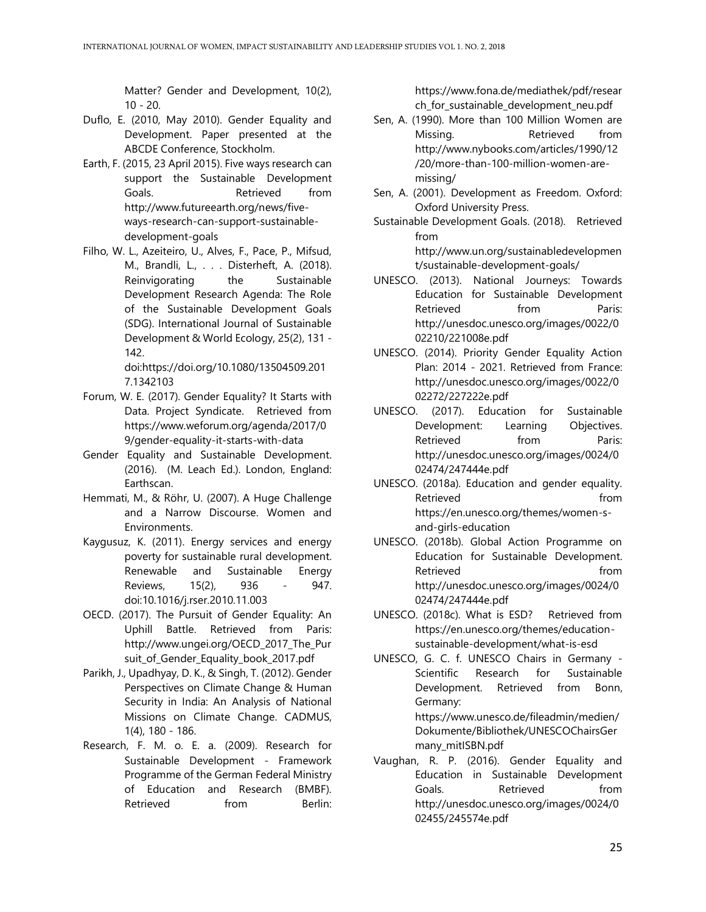Matter? Gender and Development, 10(2), 10 - 20.

- Duflo, E. (2010, May 2010). Gender Equality and Development. Paper presented at the ABCDE Conference, Stockholm.
- Earth, F. (2015, 23 April 2015). Five ways research can support the Sustainable Development Goals. Retrieved from [http://www.futureearth.org/news/five](http://www.futureearth.org/news/five-ways-research-can-support-sustainable-development-goals)[ways-research-can-support-sustainable](http://www.futureearth.org/news/five-ways-research-can-support-sustainable-development-goals)[development-goals](http://www.futureearth.org/news/five-ways-research-can-support-sustainable-development-goals)
- Filho, W. L., Azeiteiro, U., Alves, F., Pace, P., Mifsud, M., Brandli, L., . . . Disterheft, A. (2018). Reinvigorating the Sustainable Development Research Agenda: The Role of the Sustainable Development Goals (SDG). International Journal of Sustainable Development & World Ecology, 25(2), 131 - 142.

do[i:https://doi.org/10.1080/13504509.201](https://doi.org/10.1080/13504509.2017.1342103) [7.1342103](https://doi.org/10.1080/13504509.2017.1342103)

- Forum, W. E. (2017). Gender Equality? It Starts with Data. Project Syndicate. Retrieved from [https://www.weforum.org/agenda/2017/0](https://www.weforum.org/agenda/2017/09/gender-equality-it-starts-with-data) [9/gender-equality-it-starts-with-data](https://www.weforum.org/agenda/2017/09/gender-equality-it-starts-with-data)
- Gender Equality and Sustainable Development. (2016). (M. Leach Ed.). London, England: Earthscan.
- Hemmati, M., & Röhr, U. (2007). A Huge Challenge and a Narrow Discourse. Women and Environments.
- Kaygusuz, K. (2011). Energy services and energy poverty for sustainable rural development. Renewable and Sustainable Energy Reviews, 15(2), 936 - 947. doi:10.1016/j.rser.2010.11.003
- OECD. (2017). The Pursuit of Gender Equality: An Uphill Battle. Retrieved from Paris: [http://www.ungei.org/OECD\\_2017\\_The\\_Pur](http://www.ungei.org/OECD_2017_The_Pursuit_of_Gender_Equality_book_2017.pdf) [suit\\_of\\_Gender\\_Equality\\_book\\_2017.pdf](http://www.ungei.org/OECD_2017_The_Pursuit_of_Gender_Equality_book_2017.pdf)
- Parikh, J., Upadhyay, D. K., & Singh, T. (2012). Gender Perspectives on Climate Change & Human Security in India: An Analysis of National Missions on Climate Change. CADMUS, 1(4), 180 - 186.
- Research, F. M. o. E. a. (2009). Research for Sustainable Development - Framework Programme of the German Federal Ministry of Education and Research (BMBF). Retrieved from Berlin:

[https://www.fona.de/mediathek/pdf/resear](https://www.fona.de/mediathek/pdf/research_for_sustainable_development_neu.pdf) ch for sustainable development neu.pdf

- Sen, A. (1990). More than 100 Million Women are Missing. The Retrieved from [http://www.nybooks.com/articles/1990/12](http://www.nybooks.com/articles/1990/12/20/more-than-100-million-women-are-missing/) [/20/more-than-100-million-women-are](http://www.nybooks.com/articles/1990/12/20/more-than-100-million-women-are-missing/)[missing/](http://www.nybooks.com/articles/1990/12/20/more-than-100-million-women-are-missing/)
- Sen, A. (2001). Development as Freedom. Oxford: Oxford University Press.
- Sustainable Development Goals. (2018). Retrieved from [http://www.un.org/sustainabledevelopmen](http://www.un.org/sustainabledevelopment/sustainable-development-goals/)

[t/sustainable-development-goals/](http://www.un.org/sustainabledevelopment/sustainable-development-goals/)

- UNESCO. (2013). National Journeys: Towards Education for Sustainable Development Retrieved from Paris: [http://unesdoc.unesco.org/images/0022/0](http://unesdoc.unesco.org/images/0022/002210/221008e.pdf) [02210/221008e.pdf](http://unesdoc.unesco.org/images/0022/002210/221008e.pdf)
- UNESCO. (2014). Priority Gender Equality Action Plan: 2014 - 2021. Retrieved from France: [http://unesdoc.unesco.org/images/0022/0](http://unesdoc.unesco.org/images/0022/002272/227222e.pdf) [02272/227222e.pdf](http://unesdoc.unesco.org/images/0022/002272/227222e.pdf)
- UNESCO. (2017). Education for Sustainable Development: Learning Objectives. Retrieved from Paris: [http://unesdoc.unesco.org/images/0024/0](http://unesdoc.unesco.org/images/0024/002474/247444e.pdf) [02474/247444e.pdf](http://unesdoc.unesco.org/images/0024/002474/247444e.pdf)
- UNESCO. (2018a). Education and gender equality. Retrieved from [https://en.unesco.org/themes/women-s](https://en.unesco.org/themes/women-s-and-girls-education)[and-girls-education](https://en.unesco.org/themes/women-s-and-girls-education)
- UNESCO. (2018b). Global Action Programme on Education for Sustainable Development. Retrieved from **from** [http://unesdoc.unesco.org/images/0024/0](http://unesdoc.unesco.org/images/0024/002474/247444e.pdf) [02474/247444e.pdf](http://unesdoc.unesco.org/images/0024/002474/247444e.pdf)
- UNESCO. (2018c). What is ESD? Retrieved from [https://en.unesco.org/themes/education](https://en.unesco.org/themes/education-sustainable-development/what-is-esd)[sustainable-development/what-is-esd](https://en.unesco.org/themes/education-sustainable-development/what-is-esd)
- UNESCO, G. C. f. UNESCO Chairs in Germany Scientific Research for Sustainable Development. Retrieved from Bonn, Germany: [https://www.unesco.de/fileadmin/medien/](https://www.unesco.de/fileadmin/medien/Dokumente/Bibliothek/UNESCOChairsGermany_mitISBN.pdf) [Dokumente/Bibliothek/UNESCOChairsGer](https://www.unesco.de/fileadmin/medien/Dokumente/Bibliothek/UNESCOChairsGermany_mitISBN.pdf) [many\\_mitISBN.pdf](https://www.unesco.de/fileadmin/medien/Dokumente/Bibliothek/UNESCOChairsGermany_mitISBN.pdf)
- Vaughan, R. P. (2016). Gender Equality and Education in Sustainable Development Goals. Retrieved from [http://unesdoc.unesco.org/images/0024/0](http://unesdoc.unesco.org/images/0024/002455/245574e.pdf) [02455/245574e.pdf](http://unesdoc.unesco.org/images/0024/002455/245574e.pdf)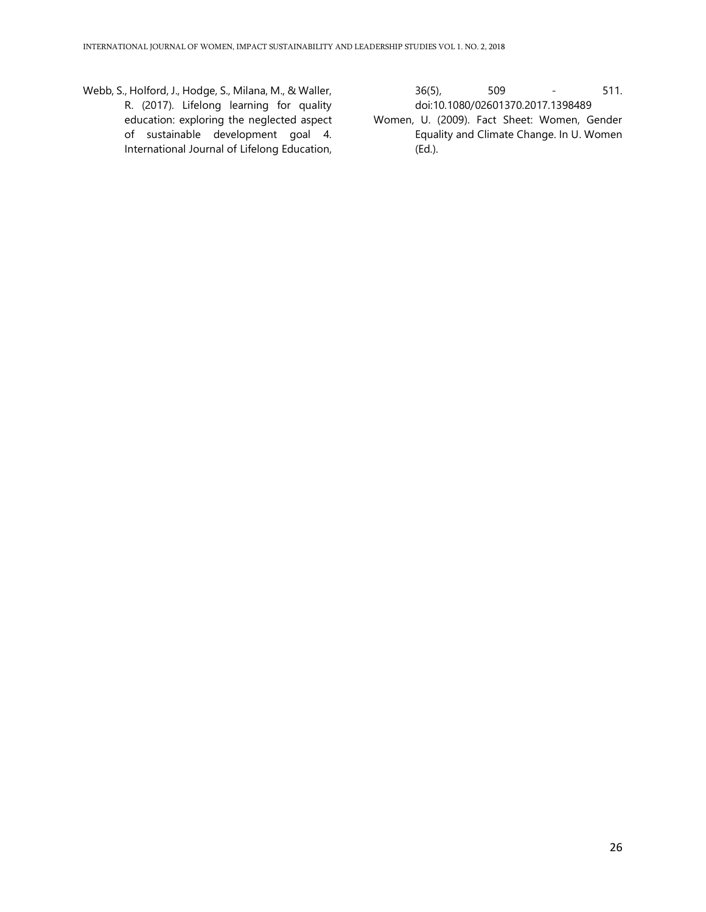Webb, S., Holford, J., Hodge, S., Milana, M., & Waller, R. (2017). Lifelong learning for quality education: exploring the neglected aspect of sustainable development goal 4. International Journal of Lifelong Education,

36(5), 509 - 511. doi:10.1080/02601370.2017.1398489

Women, U. (2009). Fact Sheet: Women, Gender Equality and Climate Change. In U. Women (Ed.).